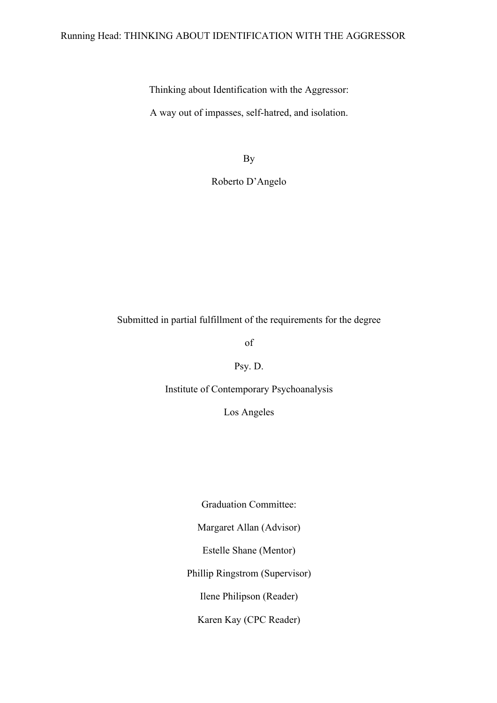# Running Head: THINKING ABOUT IDENTIFICATION WITH THE AGGRESSOR

Thinking about Identification with the Aggressor:

A way out of impasses, self-hatred, and isolation.

By

Roberto D'Angelo

Submitted in partial fulfillment of the requirements for the degree

of

Psy. D.

Institute of Contemporary Psychoanalysis

Los Angeles

Graduation Committee: Margaret Allan (Advisor) Estelle Shane (Mentor) Phillip Ringstrom (Supervisor) Ilene Philipson (Reader)

Karen Kay (CPC Reader)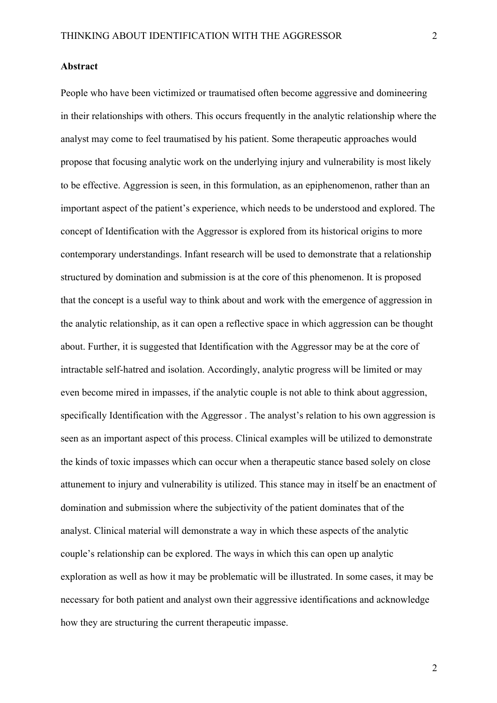### **Abstract**

People who have been victimized or traumatised often become aggressive and domineering in their relationships with others. This occurs frequently in the analytic relationship where the analyst may come to feel traumatised by his patient. Some therapeutic approaches would propose that focusing analytic work on the underlying injury and vulnerability is most likely to be effective. Aggression is seen, in this formulation, as an epiphenomenon, rather than an important aspect of the patient's experience, which needs to be understood and explored. The concept of Identification with the Aggressor is explored from its historical origins to more contemporary understandings. Infant research will be used to demonstrate that a relationship structured by domination and submission is at the core of this phenomenon. It is proposed that the concept is a useful way to think about and work with the emergence of aggression in the analytic relationship, as it can open a reflective space in which aggression can be thought about. Further, it is suggested that Identification with the Aggressor may be at the core of intractable self-hatred and isolation. Accordingly, analytic progress will be limited or may even become mired in impasses, if the analytic couple is not able to think about aggression, specifically Identification with the Aggressor . The analyst's relation to his own aggression is seen as an important aspect of this process. Clinical examples will be utilized to demonstrate the kinds of toxic impasses which can occur when a therapeutic stance based solely on close attunement to injury and vulnerability is utilized. This stance may in itself be an enactment of domination and submission where the subjectivity of the patient dominates that of the analyst. Clinical material will demonstrate a way in which these aspects of the analytic couple's relationship can be explored. The ways in which this can open up analytic exploration as well as how it may be problematic will be illustrated. In some cases, it may be necessary for both patient and analyst own their aggressive identifications and acknowledge how they are structuring the current therapeutic impasse.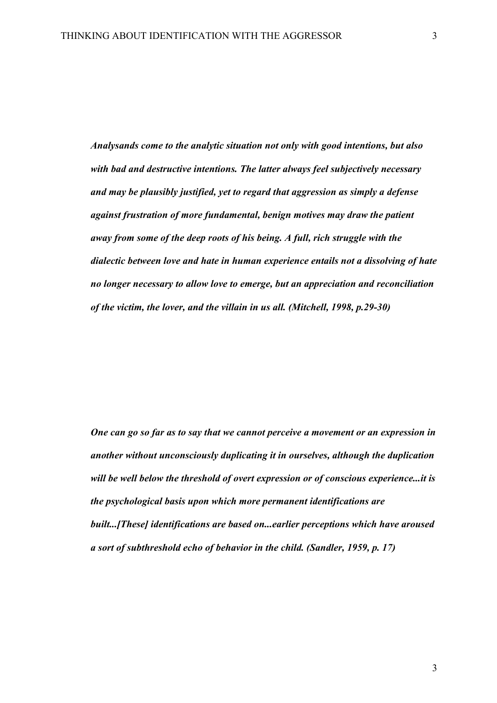*Analysands come to the analytic situation not only with good intentions, but also with bad and destructive intentions. The latter always feel subjectively necessary and may be plausibly justified, yet to regard that aggression as simply a defense against frustration of more fundamental, benign motives may draw the patient away from some of the deep roots of his being. A full, rich struggle with the dialectic between love and hate in human experience entails not a dissolving of hate no longer necessary to allow love to emerge, but an appreciation and reconciliation of the victim, the lover, and the villain in us all. (Mitchell, 1998, p.29-30)*

*One can go so far as to say that we cannot perceive a movement or an expression in another without unconsciously duplicating it in ourselves, although the duplication will be well below the threshold of overt expression or of conscious experience...it is the psychological basis upon which more permanent identifications are built...[These] identifications are based on...earlier perceptions which have aroused a sort of subthreshold echo of behavior in the child. (Sandler, 1959, p. 17)*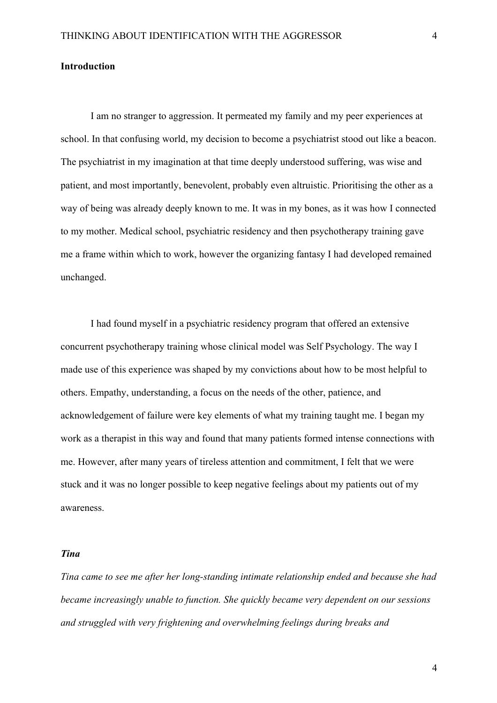# **Introduction**

I am no stranger to aggression. It permeated my family and my peer experiences at school. In that confusing world, my decision to become a psychiatrist stood out like a beacon. The psychiatrist in my imagination at that time deeply understood suffering, was wise and patient, and most importantly, benevolent, probably even altruistic. Prioritising the other as a way of being was already deeply known to me. It was in my bones, as it was how I connected to my mother. Medical school, psychiatric residency and then psychotherapy training gave me a frame within which to work, however the organizing fantasy I had developed remained unchanged.

I had found myself in a psychiatric residency program that offered an extensive concurrent psychotherapy training whose clinical model was Self Psychology. The way I made use of this experience was shaped by my convictions about how to be most helpful to others. Empathy, understanding, a focus on the needs of the other, patience, and acknowledgement of failure were key elements of what my training taught me. I began my work as a therapist in this way and found that many patients formed intense connections with me. However, after many years of tireless attention and commitment, I felt that we were stuck and it was no longer possible to keep negative feelings about my patients out of my awareness.

## *Tina*

*Tina came to see me after her long-standing intimate relationship ended and because she had became increasingly unable to function. She quickly became very dependent on our sessions and struggled with very frightening and overwhelming feelings during breaks and*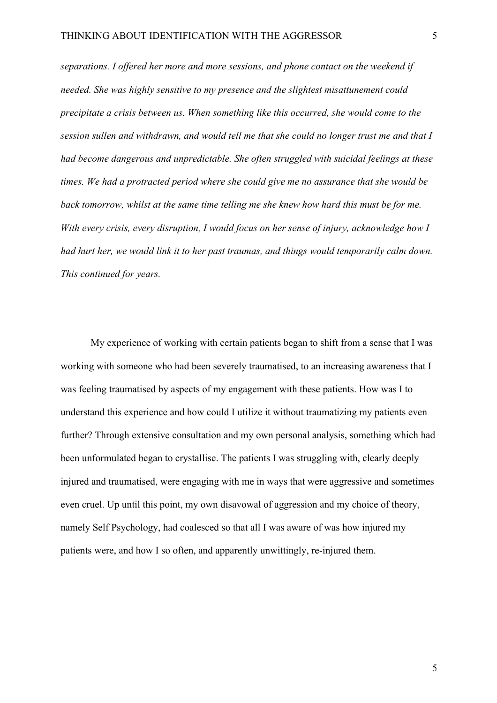*separations. I offered her more and more sessions, and phone contact on the weekend if needed. She was highly sensitive to my presence and the slightest misattunement could precipitate a crisis between us. When something like this occurred, she would come to the session sullen and withdrawn, and would tell me that she could no longer trust me and that I had become dangerous and unpredictable. She often struggled with suicidal feelings at these times. We had a protracted period where she could give me no assurance that she would be back tomorrow, whilst at the same time telling me she knew how hard this must be for me. With every crisis, every disruption, I would focus on her sense of injury, acknowledge how I had hurt her, we would link it to her past traumas, and things would temporarily calm down. This continued for years.*

My experience of working with certain patients began to shift from a sense that I was working with someone who had been severely traumatised, to an increasing awareness that I was feeling traumatised by aspects of my engagement with these patients. How was I to understand this experience and how could I utilize it without traumatizing my patients even further? Through extensive consultation and my own personal analysis, something which had been unformulated began to crystallise. The patients I was struggling with, clearly deeply injured and traumatised, were engaging with me in ways that were aggressive and sometimes even cruel. Up until this point, my own disavowal of aggression and my choice of theory, namely Self Psychology, had coalesced so that all I was aware of was how injured my patients were, and how I so often, and apparently unwittingly, re-injured them.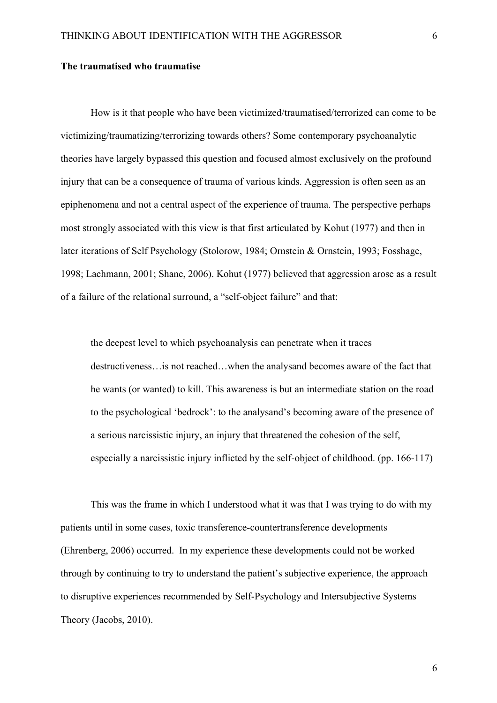### **The traumatised who traumatise**

How is it that people who have been victimized/traumatised/terrorized can come to be victimizing/traumatizing/terrorizing towards others? Some contemporary psychoanalytic theories have largely bypassed this question and focused almost exclusively on the profound injury that can be a consequence of trauma of various kinds. Aggression is often seen as an epiphenomena and not a central aspect of the experience of trauma. The perspective perhaps most strongly associated with this view is that first articulated by Kohut (1977) and then in later iterations of Self Psychology (Stolorow, 1984; Ornstein & Ornstein, 1993; Fosshage, 1998; Lachmann, 2001; Shane, 2006). Kohut (1977) believed that aggression arose as a result of a failure of the relational surround, a "self-object failure" and that:

the deepest level to which psychoanalysis can penetrate when it traces destructiveness…is not reached…when the analysand becomes aware of the fact that he wants (or wanted) to kill. This awareness is but an intermediate station on the road to the psychological 'bedrock': to the analysand's becoming aware of the presence of a serious narcissistic injury, an injury that threatened the cohesion of the self, especially a narcissistic injury inflicted by the self-object of childhood. (pp. 166-117)

This was the frame in which I understood what it was that I was trying to do with my patients until in some cases, toxic transference-countertransference developments (Ehrenberg, 2006) occurred. In my experience these developments could not be worked through by continuing to try to understand the patient's subjective experience, the approach to disruptive experiences recommended by Self-Psychology and Intersubjective Systems Theory (Jacobs, 2010).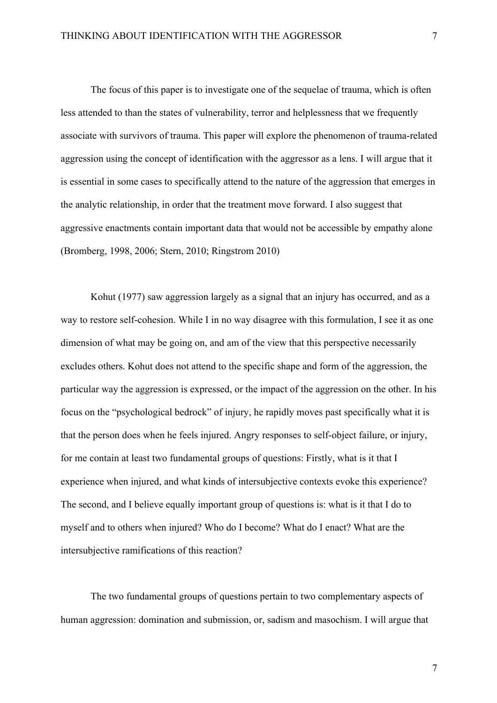The focus of this paper is to investigate one of the sequelae of trauma, which is often less attended to than the states of vulnerability, terror and helplessness that we frequently associate with survivors of trauma. This paper will explore the phenomenon of trauma-related aggression using the concept of identification with the aggressor as a lens. I will argue that it is essential in some cases to specifically attend to the nature of the aggression that emerges in the analytic relationship, in order that the treatment move forward. I also suggest that aggressive enactments contain important data that would not be accessible by empathy alone (Bromberg, 1998, 2006; Stern, 2010; Ringstrom 2010)

Kohut (1977) saw aggression largely as a signal that an injury has occurred, and as a way to restore self-cohesion. While I in no way disagree with this formulation, I see it as one dimension of what may be going on, and am of the view that this perspective necessarily excludes others. Kohut does not attend to the specific shape and form of the aggression, the particular way the aggression is expressed, or the impact of the aggression on the other. In his focus on the "psychological bedrock" of injury, he rapidly moves past specifically what it is that the person does when he feels injured. Angry responses to self-object failure, or injury, for me contain at least two fundamental groups of questions: Firstly, what is it that I experience when injured, and what kinds of intersubjective contexts evoke this experience? The second, and I believe equally important group of questions is: what is it that I do to myself and to others when injured? Who do I become? What do I enact? What are the intersubjective ramifications of this reaction?

The two fundamental groups of questions pertain to two complementary aspects of human aggression: domination and submission, or, sadism and masochism. I will argue that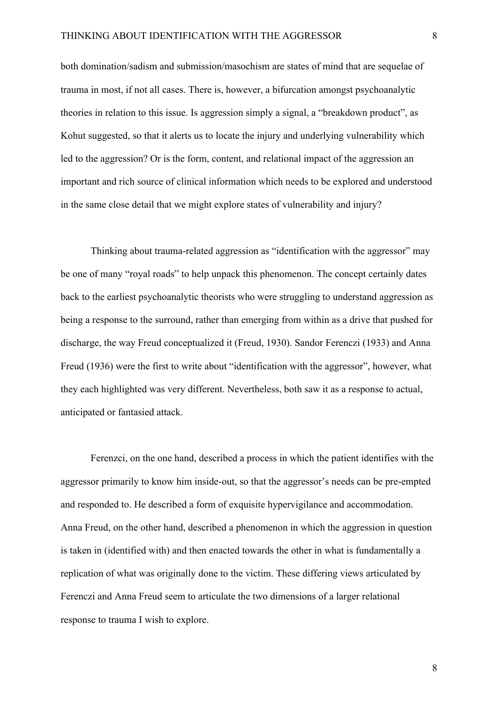both domination/sadism and submission/masochism are states of mind that are sequelae of trauma in most, if not all cases. There is, however, a bifurcation amongst psychoanalytic theories in relation to this issue. Is aggression simply a signal, a "breakdown product", as Kohut suggested, so that it alerts us to locate the injury and underlying vulnerability which led to the aggression? Or is the form, content, and relational impact of the aggression an important and rich source of clinical information which needs to be explored and understood in the same close detail that we might explore states of vulnerability and injury?

Thinking about trauma-related aggression as "identification with the aggressor" may be one of many "royal roads" to help unpack this phenomenon. The concept certainly dates back to the earliest psychoanalytic theorists who were struggling to understand aggression as being a response to the surround, rather than emerging from within as a drive that pushed for discharge, the way Freud conceptualized it (Freud, 1930). Sandor Ferenczi (1933) and Anna Freud (1936) were the first to write about "identification with the aggressor", however, what they each highlighted was very different. Nevertheless, both saw it as a response to actual, anticipated or fantasied attack.

Ferenzci, on the one hand, described a process in which the patient identifies with the aggressor primarily to know him inside-out, so that the aggressor's needs can be pre-empted and responded to. He described a form of exquisite hypervigilance and accommodation. Anna Freud, on the other hand, described a phenomenon in which the aggression in question is taken in (identified with) and then enacted towards the other in what is fundamentally a replication of what was originally done to the victim. These differing views articulated by Ferenczi and Anna Freud seem to articulate the two dimensions of a larger relational response to trauma I wish to explore.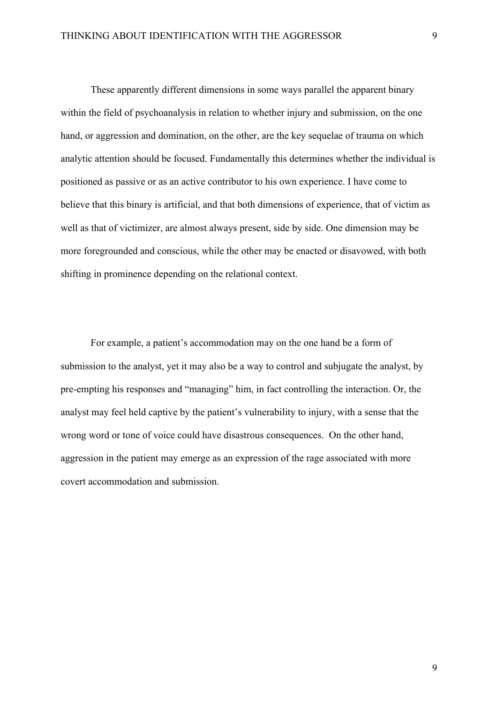These apparently different dimensions in some ways parallel the apparent binary within the field of psychoanalysis in relation to whether injury and submission, on the one hand, or aggression and domination, on the other, are the key sequelae of trauma on which analytic attention should be focused. Fundamentally this determines whether the individual is positioned as passive or as an active contributor to his own experience. I have come to believe that this binary is artificial, and that both dimensions of experience, that of victim as well as that of victimizer, are almost always present, side by side. One dimension may be more foregrounded and conscious, while the other may be enacted or disavowed, with both shifting in prominence depending on the relational context.

For example, a patient's accommodation may on the one hand be a form of submission to the analyst, yet it may also be a way to control and subjugate the analyst, by pre-empting his responses and "managing" him, in fact controlling the interaction. Or, the analyst may feel held captive by the patient's vulnerability to injury, with a sense that the wrong word or tone of voice could have disastrous consequences. On the other hand, aggression in the patient may emerge as an expression of the rage associated with more covert accommodation and submission.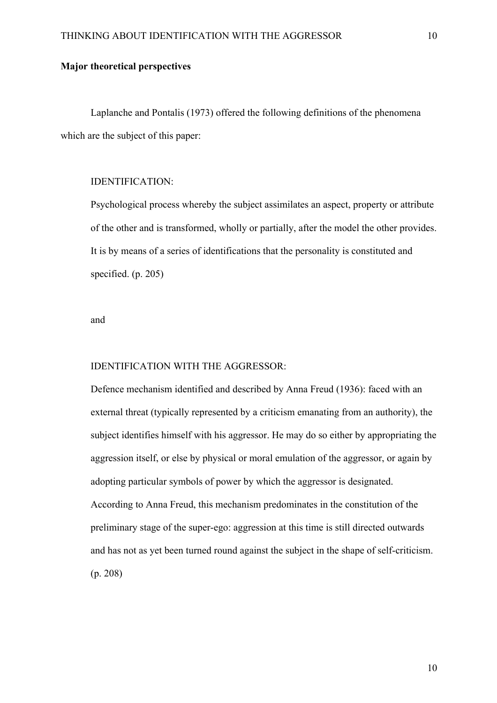## **Major theoretical perspectives**

Laplanche and Pontalis (1973) offered the following definitions of the phenomena which are the subject of this paper:

### IDENTIFICATION:

Psychological process whereby the subject assimilates an aspect, property or attribute of the other and is transformed, wholly or partially, after the model the other provides. It is by means of a series of identifications that the personality is constituted and specified. (p. 205)

and

#### IDENTIFICATION WITH THE AGGRESSOR:

Defence mechanism identified and described by Anna Freud (1936): faced with an external threat (typically represented by a criticism emanating from an authority), the subject identifies himself with his aggressor. He may do so either by appropriating the aggression itself, or else by physical or moral emulation of the aggressor, or again by adopting particular symbols of power by which the aggressor is designated. According to Anna Freud, this mechanism predominates in the constitution of the preliminary stage of the super-ego: aggression at this time is still directed outwards and has not as yet been turned round against the subject in the shape of self-criticism. (p. 208)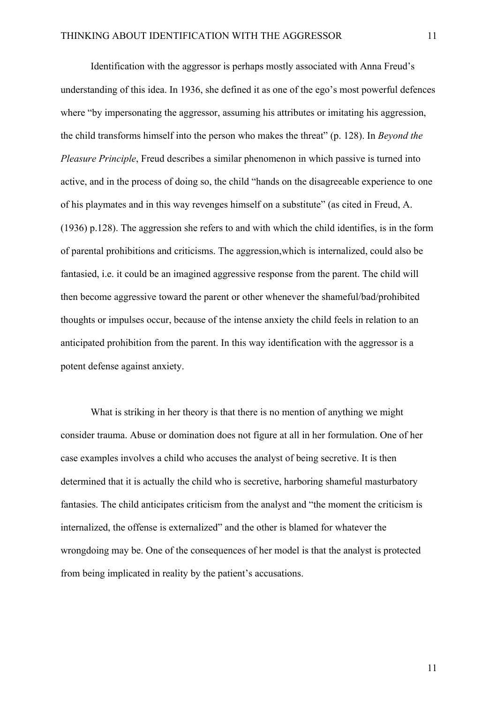Identification with the aggressor is perhaps mostly associated with Anna Freud's understanding of this idea. In 1936, she defined it as one of the ego's most powerful defences where "by impersonating the aggressor, assuming his attributes or imitating his aggression, the child transforms himself into the person who makes the threat" (p. 128). In *Beyond the Pleasure Principle*, Freud describes a similar phenomenon in which passive is turned into active, and in the process of doing so, the child "hands on the disagreeable experience to one of his playmates and in this way revenges himself on a substitute" (as cited in Freud, A. (1936) p.128). The aggression she refers to and with which the child identifies, is in the form of parental prohibitions and criticisms. The aggression,which is internalized, could also be fantasied, i.e. it could be an imagined aggressive response from the parent. The child will then become aggressive toward the parent or other whenever the shameful/bad/prohibited thoughts or impulses occur, because of the intense anxiety the child feels in relation to an anticipated prohibition from the parent. In this way identification with the aggressor is a potent defense against anxiety.

What is striking in her theory is that there is no mention of anything we might consider trauma. Abuse or domination does not figure at all in her formulation. One of her case examples involves a child who accuses the analyst of being secretive. It is then determined that it is actually the child who is secretive, harboring shameful masturbatory fantasies. The child anticipates criticism from the analyst and "the moment the criticism is internalized, the offense is externalized" and the other is blamed for whatever the wrongdoing may be. One of the consequences of her model is that the analyst is protected from being implicated in reality by the patient's accusations.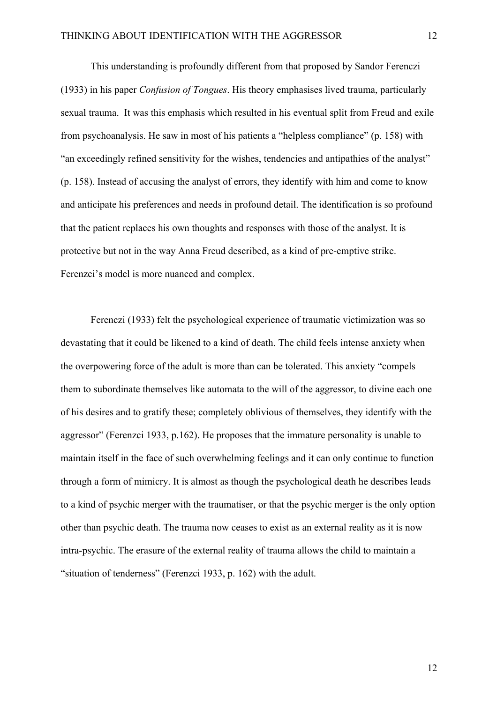This understanding is profoundly different from that proposed by Sandor Ferenczi (1933) in his paper *Confusion of Tongues*. His theory emphasises lived trauma, particularly sexual trauma. It was this emphasis which resulted in his eventual split from Freud and exile from psychoanalysis. He saw in most of his patients a "helpless compliance" (p. 158) with "an exceedingly refined sensitivity for the wishes, tendencies and antipathies of the analyst" (p. 158). Instead of accusing the analyst of errors, they identify with him and come to know and anticipate his preferences and needs in profound detail. The identification is so profound that the patient replaces his own thoughts and responses with those of the analyst. It is protective but not in the way Anna Freud described, as a kind of pre-emptive strike. Ferenzci's model is more nuanced and complex.

Ferenczi (1933) felt the psychological experience of traumatic victimization was so devastating that it could be likened to a kind of death. The child feels intense anxiety when the overpowering force of the adult is more than can be tolerated. This anxiety "compels them to subordinate themselves like automata to the will of the aggressor, to divine each one of his desires and to gratify these; completely oblivious of themselves, they identify with the aggressor" (Ferenzci 1933, p.162). He proposes that the immature personality is unable to maintain itself in the face of such overwhelming feelings and it can only continue to function through a form of mimicry. It is almost as though the psychological death he describes leads to a kind of psychic merger with the traumatiser, or that the psychic merger is the only option other than psychic death. The trauma now ceases to exist as an external reality as it is now intra-psychic. The erasure of the external reality of trauma allows the child to maintain a "situation of tenderness" (Ferenzci 1933, p. 162) with the adult.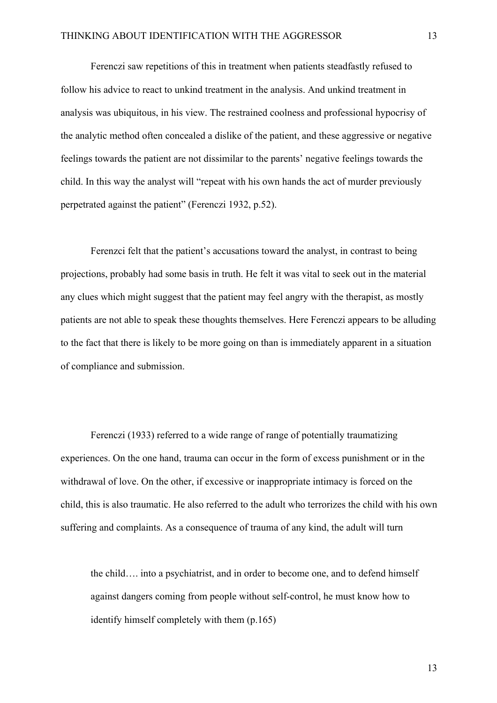Ferenczi saw repetitions of this in treatment when patients steadfastly refused to follow his advice to react to unkind treatment in the analysis. And unkind treatment in analysis was ubiquitous, in his view. The restrained coolness and professional hypocrisy of the analytic method often concealed a dislike of the patient, and these aggressive or negative feelings towards the patient are not dissimilar to the parents' negative feelings towards the child. In this way the analyst will "repeat with his own hands the act of murder previously perpetrated against the patient" (Ferenczi 1932, p.52).

Ferenzci felt that the patient's accusations toward the analyst, in contrast to being projections, probably had some basis in truth. He felt it was vital to seek out in the material any clues which might suggest that the patient may feel angry with the therapist, as mostly patients are not able to speak these thoughts themselves. Here Ferenczi appears to be alluding to the fact that there is likely to be more going on than is immediately apparent in a situation of compliance and submission.

Ferenczi (1933) referred to a wide range of range of potentially traumatizing experiences. On the one hand, trauma can occur in the form of excess punishment or in the withdrawal of love. On the other, if excessive or inappropriate intimacy is forced on the child, this is also traumatic. He also referred to the adult who terrorizes the child with his own suffering and complaints. As a consequence of trauma of any kind, the adult will turn

the child…. into a psychiatrist, and in order to become one, and to defend himself against dangers coming from people without self-control, he must know how to identify himself completely with them (p.165)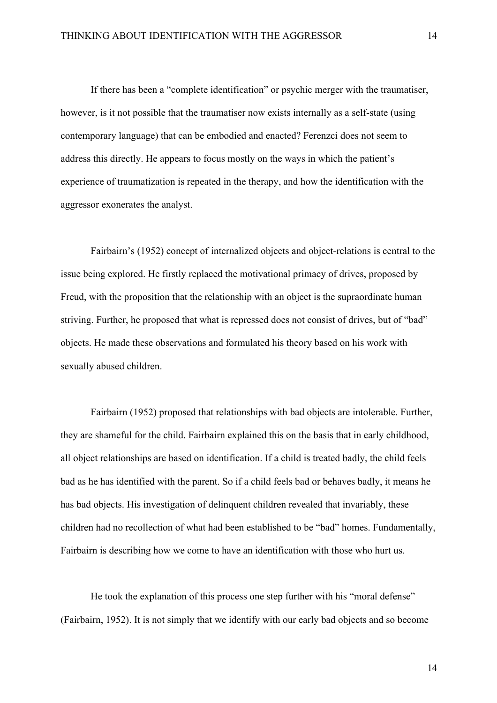If there has been a "complete identification" or psychic merger with the traumatiser, however, is it not possible that the traumatiser now exists internally as a self-state (using contemporary language) that can be embodied and enacted? Ferenzci does not seem to address this directly. He appears to focus mostly on the ways in which the patient's experience of traumatization is repeated in the therapy, and how the identification with the aggressor exonerates the analyst.

Fairbairn's (1952) concept of internalized objects and object-relations is central to the issue being explored. He firstly replaced the motivational primacy of drives, proposed by Freud, with the proposition that the relationship with an object is the supraordinate human striving. Further, he proposed that what is repressed does not consist of drives, but of "bad" objects. He made these observations and formulated his theory based on his work with sexually abused children.

Fairbairn (1952) proposed that relationships with bad objects are intolerable. Further, they are shameful for the child. Fairbairn explained this on the basis that in early childhood, all object relationships are based on identification. If a child is treated badly, the child feels bad as he has identified with the parent. So if a child feels bad or behaves badly, it means he has bad objects. His investigation of delinquent children revealed that invariably, these children had no recollection of what had been established to be "bad" homes. Fundamentally, Fairbairn is describing how we come to have an identification with those who hurt us.

He took the explanation of this process one step further with his "moral defense" (Fairbairn, 1952). It is not simply that we identify with our early bad objects and so become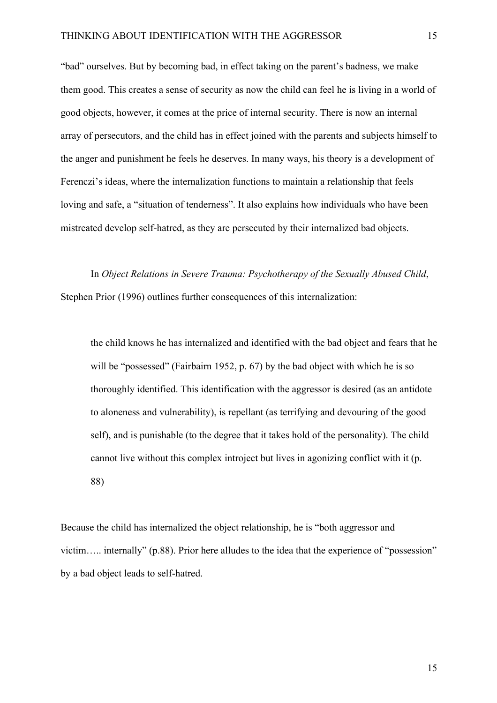"bad" ourselves. But by becoming bad, in effect taking on the parent's badness, we make them good. This creates a sense of security as now the child can feel he is living in a world of good objects, however, it comes at the price of internal security. There is now an internal array of persecutors, and the child has in effect joined with the parents and subjects himself to the anger and punishment he feels he deserves. In many ways, his theory is a development of Ferenczi's ideas, where the internalization functions to maintain a relationship that feels loving and safe, a "situation of tenderness". It also explains how individuals who have been mistreated develop self-hatred, as they are persecuted by their internalized bad objects.

In *Object Relations in Severe Trauma: Psychotherapy of the Sexually Abused Child*, Stephen Prior (1996) outlines further consequences of this internalization:

the child knows he has internalized and identified with the bad object and fears that he will be "possessed" (Fairbairn 1952, p. 67) by the bad object with which he is so thoroughly identified. This identification with the aggressor is desired (as an antidote to aloneness and vulnerability), is repellant (as terrifying and devouring of the good self), and is punishable (to the degree that it takes hold of the personality). The child cannot live without this complex introject but lives in agonizing conflict with it (p. 88)

Because the child has internalized the object relationship, he is "both aggressor and victim….. internally" (p.88). Prior here alludes to the idea that the experience of "possession" by a bad object leads to self-hatred.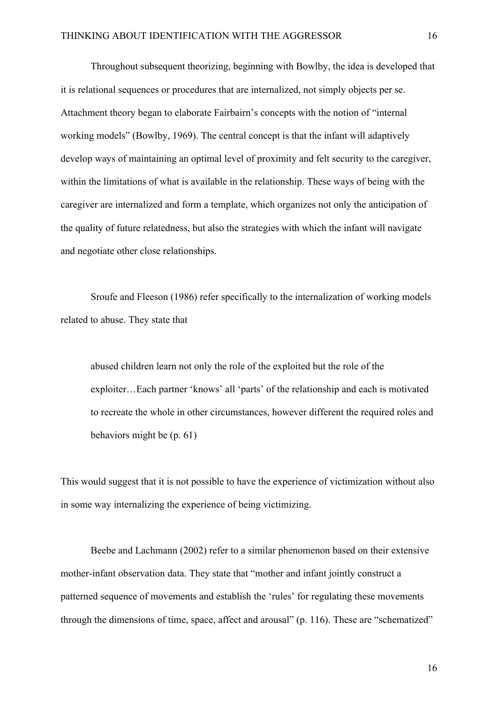Throughout subsequent theorizing, beginning with Bowlby, the idea is developed that it is relational sequences or procedures that are internalized, not simply objects per se. Attachment theory began to elaborate Fairbairn's concepts with the notion of "internal working models" (Bowlby, 1969). The central concept is that the infant will adaptively develop ways of maintaining an optimal level of proximity and felt security to the caregiver, within the limitations of what is available in the relationship. These ways of being with the caregiver are internalized and form a template, which organizes not only the anticipation of the quality of future relatedness, but also the strategies with which the infant will navigate and negotiate other close relationships.

Sroufe and Fleeson (1986) refer specifically to the internalization of working models related to abuse. They state that

abused children learn not only the role of the exploited but the role of the exploiter…Each partner 'knows' all 'parts' of the relationship and each is motivated to recreate the whole in other circumstances, however different the required roles and behaviors might be (p. 61)

This would suggest that it is not possible to have the experience of victimization without also in some way internalizing the experience of being victimizing.

Beebe and Lachmann (2002) refer to a similar phenomenon based on their extensive mother-infant observation data. They state that "mother and infant jointly construct a patterned sequence of movements and establish the 'rules' for regulating these movements through the dimensions of time, space, affect and arousal" (p. 116). These are "schematized"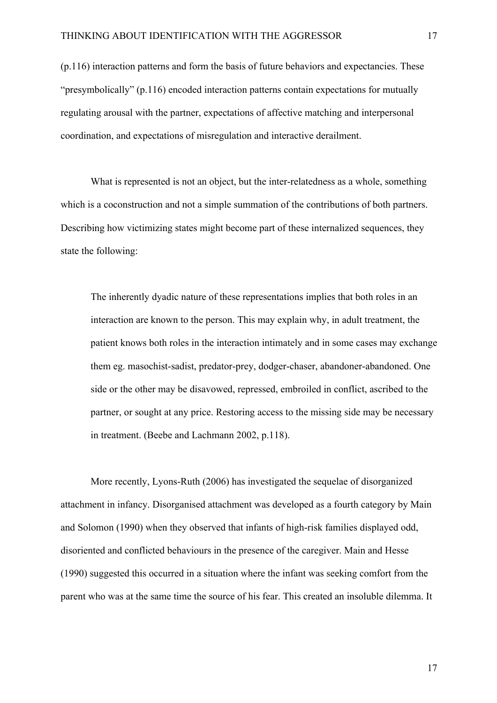(p.116) interaction patterns and form the basis of future behaviors and expectancies. These "presymbolically" (p.116) encoded interaction patterns contain expectations for mutually regulating arousal with the partner, expectations of affective matching and interpersonal coordination, and expectations of misregulation and interactive derailment.

What is represented is not an object, but the inter-relatedness as a whole, something which is a coconstruction and not a simple summation of the contributions of both partners. Describing how victimizing states might become part of these internalized sequences, they state the following:

The inherently dyadic nature of these representations implies that both roles in an interaction are known to the person. This may explain why, in adult treatment, the patient knows both roles in the interaction intimately and in some cases may exchange them eg. masochist-sadist, predator-prey, dodger-chaser, abandoner-abandoned. One side or the other may be disavowed, repressed, embroiled in conflict, ascribed to the partner, or sought at any price. Restoring access to the missing side may be necessary in treatment. (Beebe and Lachmann 2002, p.118).

More recently, Lyons-Ruth (2006) has investigated the sequelae of disorganized attachment in infancy. Disorganised attachment was developed as a fourth category by Main and Solomon (1990) when they observed that infants of high-risk families displayed odd, disoriented and conflicted behaviours in the presence of the caregiver. Main and Hesse (1990) suggested this occurred in a situation where the infant was seeking comfort from the parent who was at the same time the source of his fear. This created an insoluble dilemma. It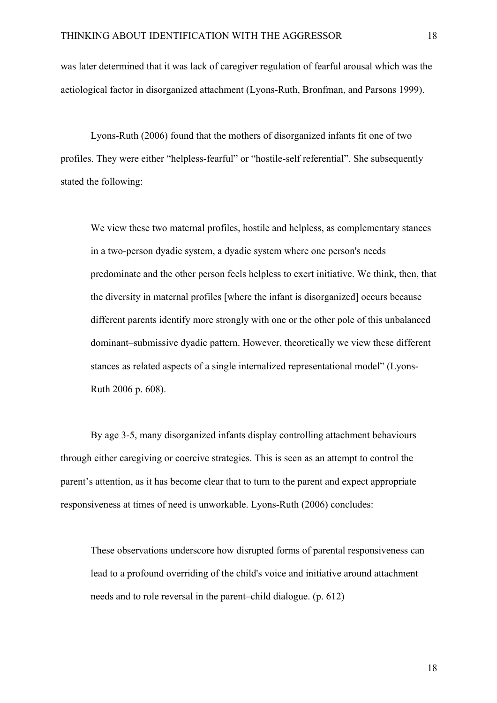was later determined that it was lack of caregiver regulation of fearful arousal which was the aetiological factor in disorganized attachment (Lyons-Ruth, Bronfman, and Parsons 1999).

Lyons-Ruth (2006) found that the mothers of disorganized infants fit one of two profiles. They were either "helpless-fearful" or "hostile-self referential". She subsequently stated the following:

We view these two maternal profiles, hostile and helpless, as complementary stances in a two-person dyadic system, a dyadic system where one person's needs predominate and the other person feels helpless to exert initiative. We think, then, that the diversity in maternal profiles [where the infant is disorganized] occurs because different parents identify more strongly with one or the other pole of this unbalanced dominant–submissive dyadic pattern. However, theoretically we view these different stances as related aspects of a single internalized representational model" (Lyons-Ruth 2006 p. 608).

By age 3-5, many disorganized infants display controlling attachment behaviours through either caregiving or coercive strategies. This is seen as an attempt to control the parent's attention, as it has become clear that to turn to the parent and expect appropriate responsiveness at times of need is unworkable. Lyons-Ruth (2006) concludes:

These observations underscore how disrupted forms of parental responsiveness can lead to a profound overriding of the child's voice and initiative around attachment needs and to role reversal in the parent–child dialogue. (p. 612)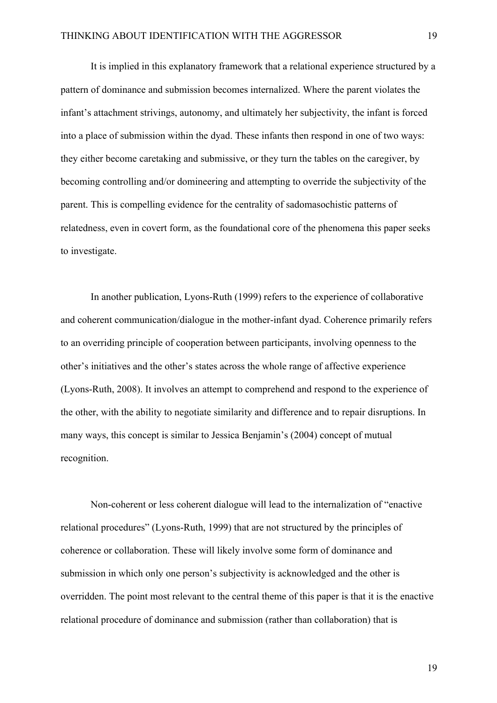It is implied in this explanatory framework that a relational experience structured by a pattern of dominance and submission becomes internalized. Where the parent violates the infant's attachment strivings, autonomy, and ultimately her subjectivity, the infant is forced into a place of submission within the dyad. These infants then respond in one of two ways: they either become caretaking and submissive, or they turn the tables on the caregiver, by becoming controlling and/or domineering and attempting to override the subjectivity of the parent. This is compelling evidence for the centrality of sadomasochistic patterns of relatedness, even in covert form, as the foundational core of the phenomena this paper seeks to investigate.

In another publication, Lyons-Ruth (1999) refers to the experience of collaborative and coherent communication/dialogue in the mother-infant dyad. Coherence primarily refers to an overriding principle of cooperation between participants, involving openness to the other's initiatives and the other's states across the whole range of affective experience (Lyons-Ruth, 2008). It involves an attempt to comprehend and respond to the experience of the other, with the ability to negotiate similarity and difference and to repair disruptions. In many ways, this concept is similar to Jessica Benjamin's (2004) concept of mutual recognition.

Non-coherent or less coherent dialogue will lead to the internalization of "enactive relational procedures" (Lyons-Ruth, 1999) that are not structured by the principles of coherence or collaboration. These will likely involve some form of dominance and submission in which only one person's subjectivity is acknowledged and the other is overridden. The point most relevant to the central theme of this paper is that it is the enactive relational procedure of dominance and submission (rather than collaboration) that is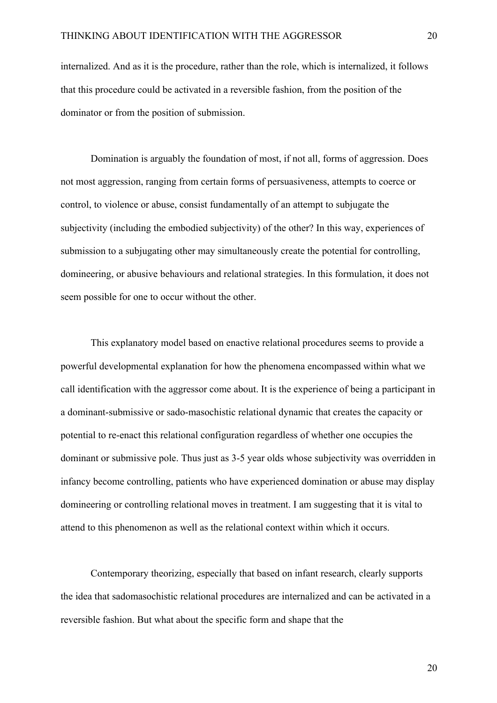internalized. And as it is the procedure, rather than the role, which is internalized, it follows that this procedure could be activated in a reversible fashion, from the position of the dominator or from the position of submission.

Domination is arguably the foundation of most, if not all, forms of aggression. Does not most aggression, ranging from certain forms of persuasiveness, attempts to coerce or control, to violence or abuse, consist fundamentally of an attempt to subjugate the subjectivity (including the embodied subjectivity) of the other? In this way, experiences of submission to a subjugating other may simultaneously create the potential for controlling, domineering, or abusive behaviours and relational strategies. In this formulation, it does not seem possible for one to occur without the other.

This explanatory model based on enactive relational procedures seems to provide a powerful developmental explanation for how the phenomena encompassed within what we call identification with the aggressor come about. It is the experience of being a participant in a dominant-submissive or sado-masochistic relational dynamic that creates the capacity or potential to re-enact this relational configuration regardless of whether one occupies the dominant or submissive pole. Thus just as 3-5 year olds whose subjectivity was overridden in infancy become controlling, patients who have experienced domination or abuse may display domineering or controlling relational moves in treatment. I am suggesting that it is vital to attend to this phenomenon as well as the relational context within which it occurs.

Contemporary theorizing, especially that based on infant research, clearly supports the idea that sadomasochistic relational procedures are internalized and can be activated in a reversible fashion. But what about the specific form and shape that the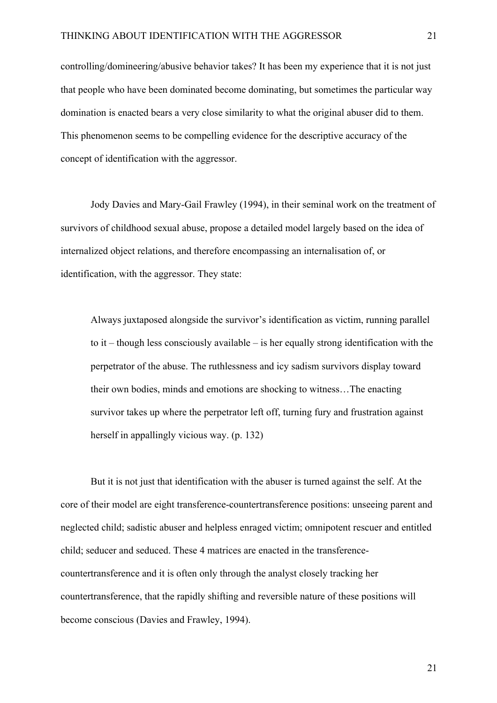controlling/domineering/abusive behavior takes? It has been my experience that it is not just that people who have been dominated become dominating, but sometimes the particular way domination is enacted bears a very close similarity to what the original abuser did to them. This phenomenon seems to be compelling evidence for the descriptive accuracy of the concept of identification with the aggressor.

Jody Davies and Mary-Gail Frawley (1994), in their seminal work on the treatment of survivors of childhood sexual abuse, propose a detailed model largely based on the idea of internalized object relations, and therefore encompassing an internalisation of, or identification, with the aggressor. They state:

Always juxtaposed alongside the survivor's identification as victim, running parallel to it – though less consciously available – is her equally strong identification with the perpetrator of the abuse. The ruthlessness and icy sadism survivors display toward their own bodies, minds and emotions are shocking to witness…The enacting survivor takes up where the perpetrator left off, turning fury and frustration against herself in appallingly vicious way. (p. 132)

But it is not just that identification with the abuser is turned against the self. At the core of their model are eight transference-countertransference positions: unseeing parent and neglected child; sadistic abuser and helpless enraged victim; omnipotent rescuer and entitled child; seducer and seduced. These 4 matrices are enacted in the transferencecountertransference and it is often only through the analyst closely tracking her countertransference, that the rapidly shifting and reversible nature of these positions will become conscious (Davies and Frawley, 1994).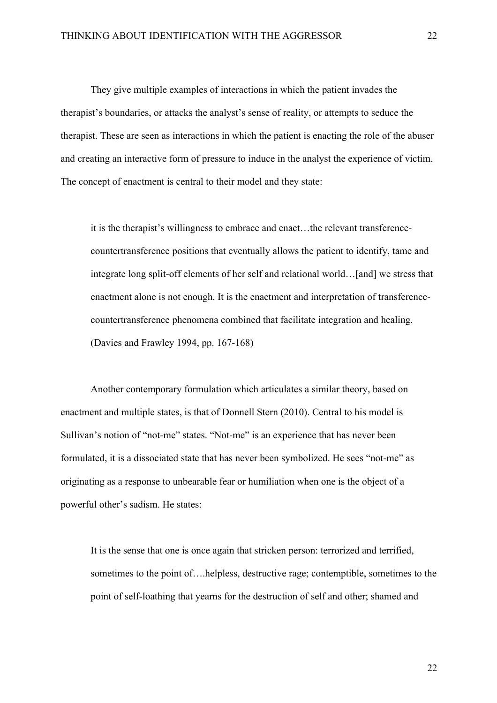They give multiple examples of interactions in which the patient invades the therapist's boundaries, or attacks the analyst's sense of reality, or attempts to seduce the therapist. These are seen as interactions in which the patient is enacting the role of the abuser and creating an interactive form of pressure to induce in the analyst the experience of victim. The concept of enactment is central to their model and they state:

it is the therapist's willingness to embrace and enact…the relevant transferencecountertransference positions that eventually allows the patient to identify, tame and integrate long split-off elements of her self and relational world…[and] we stress that enactment alone is not enough. It is the enactment and interpretation of transferencecountertransference phenomena combined that facilitate integration and healing. (Davies and Frawley 1994, pp. 167-168)

Another contemporary formulation which articulates a similar theory, based on enactment and multiple states, is that of Donnell Stern (2010). Central to his model is Sullivan's notion of "not-me" states. "Not-me" is an experience that has never been formulated, it is a dissociated state that has never been symbolized. He sees "not-me" as originating as a response to unbearable fear or humiliation when one is the object of a powerful other's sadism. He states:

It is the sense that one is once again that stricken person: terrorized and terrified, sometimes to the point of….helpless, destructive rage; contemptible, sometimes to the point of self-loathing that yearns for the destruction of self and other; shamed and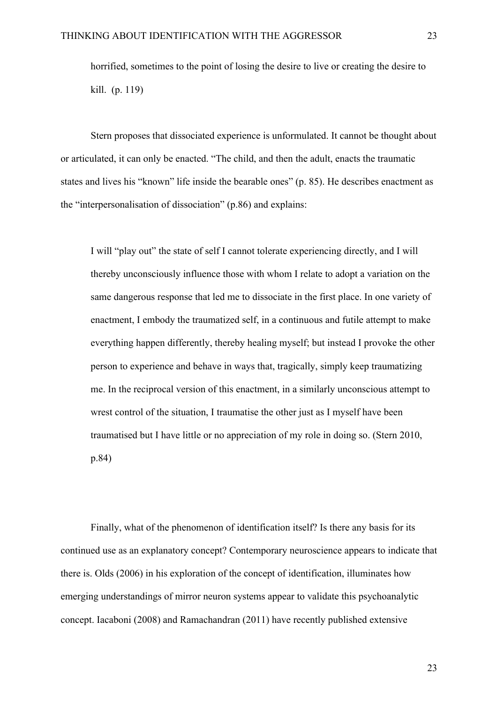horrified, sometimes to the point of losing the desire to live or creating the desire to kill. (p. 119)

Stern proposes that dissociated experience is unformulated. It cannot be thought about or articulated, it can only be enacted. "The child, and then the adult, enacts the traumatic states and lives his "known" life inside the bearable ones" (p. 85). He describes enactment as the "interpersonalisation of dissociation" (p.86) and explains:

I will "play out" the state of self I cannot tolerate experiencing directly, and I will thereby unconsciously influence those with whom I relate to adopt a variation on the same dangerous response that led me to dissociate in the first place. In one variety of enactment, I embody the traumatized self, in a continuous and futile attempt to make everything happen differently, thereby healing myself; but instead I provoke the other person to experience and behave in ways that, tragically, simply keep traumatizing me. In the reciprocal version of this enactment, in a similarly unconscious attempt to wrest control of the situation, I traumatise the other just as I myself have been traumatised but I have little or no appreciation of my role in doing so. (Stern 2010, p.84)

Finally, what of the phenomenon of identification itself? Is there any basis for its continued use as an explanatory concept? Contemporary neuroscience appears to indicate that there is. Olds (2006) in his exploration of the concept of identification, illuminates how emerging understandings of mirror neuron systems appear to validate this psychoanalytic concept. Iacaboni (2008) and Ramachandran (2011) have recently published extensive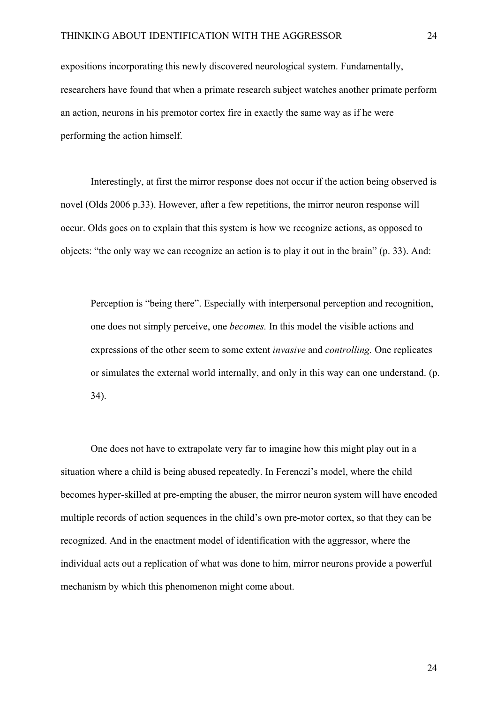expositions incorporating this newly discovered neurological system. Fundamentally, researchers have found that when a primate research subject watches another primate perform an action, neurons in his premotor cortex fire in exactly the same way as if he were performing the action himself.

Interestingly, at first the mirror response does not occur if the action being observed is novel (Olds 2006 p.33). However, after a few repetitions, the mirror neuron response will occur. Olds goes on to explain that this system is how we recognize actions, as opposed to objects: "the only way we can recognize an action is to play it out in the brain" (p. 33). And:

Perception is "being there". Especially with interpersonal perception and recognition, one does not simply perceive, one *becomes.* In this model the visible actions and expressions of the other seem to some extent *invasive* and *controlling.* One replicates or simulates the external world internally, and only in this way can one understand. (p. 34).

One does not have to extrapolate very far to imagine how this might play out in a situation where a child is being abused repeatedly. In Ferenczi's model, where the child becomes hyper-skilled at pre-empting the abuser, the mirror neuron system will have encoded multiple records of action sequences in the child's own pre-motor cortex, so that they can be recognized. And in the enactment model of identification with the aggressor, where the individual acts out a replication of what was done to him, mirror neurons provide a powerful mechanism by which this phenomenon might come about.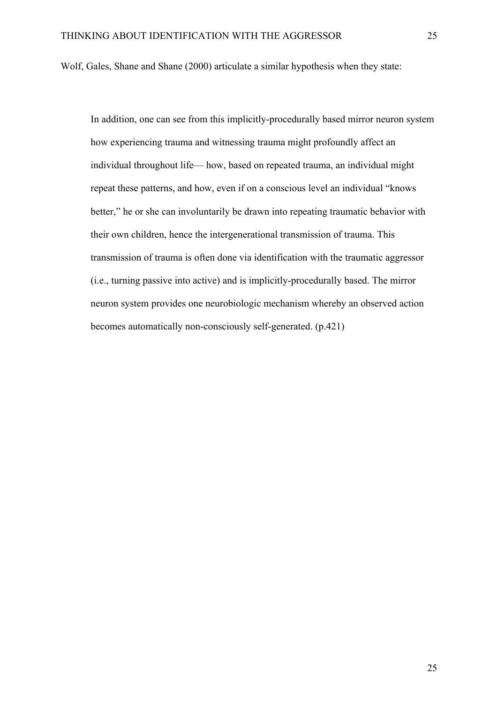Wolf, Gales, Shane and Shane (2000) articulate a similar hypothesis when they state:

In addition, one can see from this implicitly-procedurally based mirror neuron system how experiencing trauma and witnessing trauma might profoundly affect an individual throughout life— how, based on repeated trauma, an individual might repeat these patterns, and how, even if on a conscious level an individual "knows better," he or she can involuntarily be drawn into repeating traumatic behavior with their own children, hence the intergenerational transmission of trauma. This transmission of trauma is often done via identification with the traumatic aggressor (i.e., turning passive into active) and is implicitly-procedurally based. The mirror neuron system provides one neurobiologic mechanism whereby an observed action becomes automatically non-consciously self-generated. (p.421)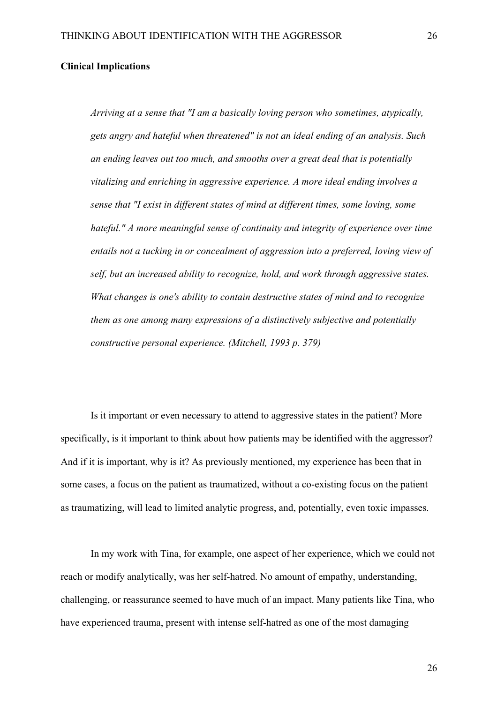### **Clinical Implications**

*Arriving at a sense that "I am a basically loving person who sometimes, atypically, gets angry and hateful when threatened" is not an ideal ending of an analysis. Such an ending leaves out too much, and smooths over a great deal that is potentially vitalizing and enriching in aggressive experience. A more ideal ending involves a sense that "I exist in different states of mind at different times, some loving, some hateful." A more meaningful sense of continuity and integrity of experience over time entails not a tucking in or concealment of aggression into a preferred, loving view of self, but an increased ability to recognize, hold, and work through aggressive states. What changes is one's ability to contain destructive states of mind and to recognize them as one among many expressions of a distinctively subjective and potentially constructive personal experience. (Mitchell, 1993 p. 379)*

Is it important or even necessary to attend to aggressive states in the patient? More specifically, is it important to think about how patients may be identified with the aggressor? And if it is important, why is it? As previously mentioned, my experience has been that in some cases, a focus on the patient as traumatized, without a co-existing focus on the patient as traumatizing, will lead to limited analytic progress, and, potentially, even toxic impasses.

In my work with Tina, for example, one aspect of her experience, which we could not reach or modify analytically, was her self-hatred. No amount of empathy, understanding, challenging, or reassurance seemed to have much of an impact. Many patients like Tina, who have experienced trauma, present with intense self-hatred as one of the most damaging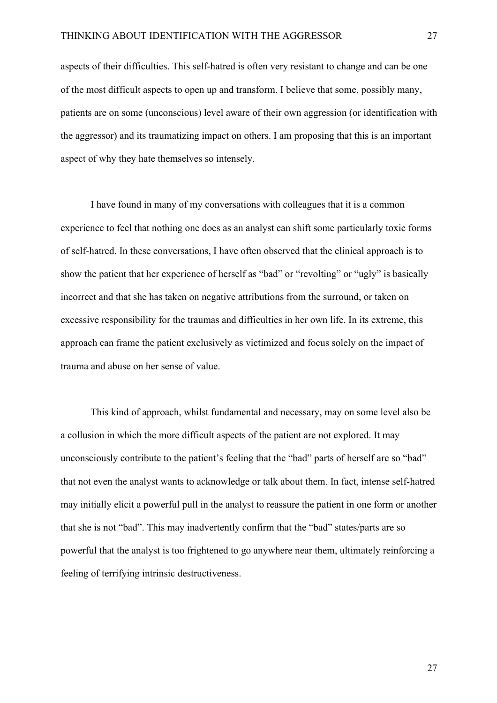aspects of their difficulties. This self-hatred is often very resistant to change and can be one of the most difficult aspects to open up and transform. I believe that some, possibly many, patients are on some (unconscious) level aware of their own aggression (or identification with the aggressor) and its traumatizing impact on others. I am proposing that this is an important aspect of why they hate themselves so intensely.

I have found in many of my conversations with colleagues that it is a common experience to feel that nothing one does as an analyst can shift some particularly toxic forms of self-hatred. In these conversations, I have often observed that the clinical approach is to show the patient that her experience of herself as "bad" or "revolting" or "ugly" is basically incorrect and that she has taken on negative attributions from the surround, or taken on excessive responsibility for the traumas and difficulties in her own life. In its extreme, this approach can frame the patient exclusively as victimized and focus solely on the impact of trauma and abuse on her sense of value.

This kind of approach, whilst fundamental and necessary, may on some level also be a collusion in which the more difficult aspects of the patient are not explored. It may unconsciously contribute to the patient's feeling that the "bad" parts of herself are so "bad" that not even the analyst wants to acknowledge or talk about them. In fact, intense self-hatred may initially elicit a powerful pull in the analyst to reassure the patient in one form or another that she is not "bad". This may inadvertently confirm that the "bad" states/parts are so powerful that the analyst is too frightened to go anywhere near them, ultimately reinforcing a feeling of terrifying intrinsic destructiveness.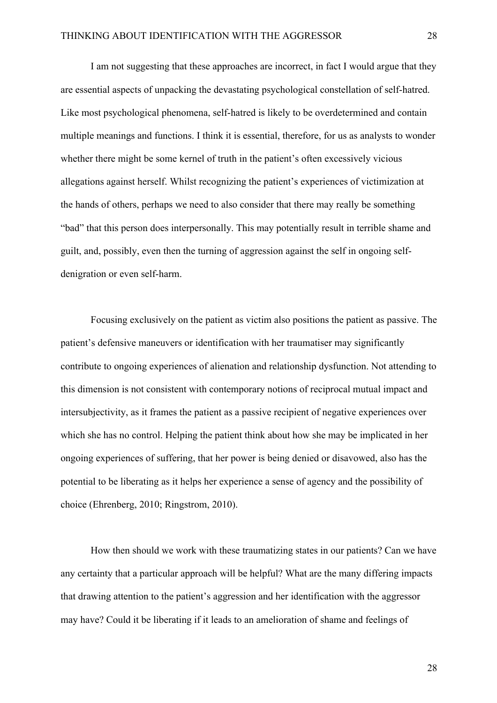I am not suggesting that these approaches are incorrect, in fact I would argue that they are essential aspects of unpacking the devastating psychological constellation of self-hatred. Like most psychological phenomena, self-hatred is likely to be overdetermined and contain multiple meanings and functions. I think it is essential, therefore, for us as analysts to wonder whether there might be some kernel of truth in the patient's often excessively vicious allegations against herself. Whilst recognizing the patient's experiences of victimization at the hands of others, perhaps we need to also consider that there may really be something "bad" that this person does interpersonally. This may potentially result in terrible shame and guilt, and, possibly, even then the turning of aggression against the self in ongoing selfdenigration or even self-harm.

Focusing exclusively on the patient as victim also positions the patient as passive. The patient's defensive maneuvers or identification with her traumatiser may significantly contribute to ongoing experiences of alienation and relationship dysfunction. Not attending to this dimension is not consistent with contemporary notions of reciprocal mutual impact and intersubjectivity, as it frames the patient as a passive recipient of negative experiences over which she has no control. Helping the patient think about how she may be implicated in her ongoing experiences of suffering, that her power is being denied or disavowed, also has the potential to be liberating as it helps her experience a sense of agency and the possibility of choice (Ehrenberg, 2010; Ringstrom, 2010).

How then should we work with these traumatizing states in our patients? Can we have any certainty that a particular approach will be helpful? What are the many differing impacts that drawing attention to the patient's aggression and her identification with the aggressor may have? Could it be liberating if it leads to an amelioration of shame and feelings of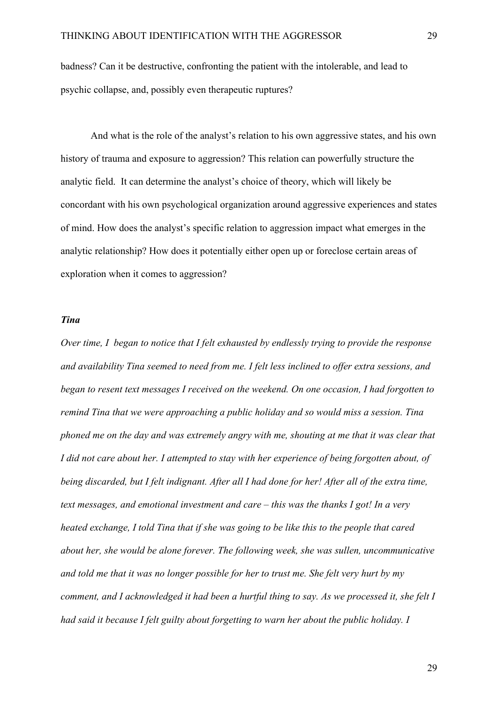badness? Can it be destructive, confronting the patient with the intolerable, and lead to psychic collapse, and, possibly even therapeutic ruptures?

And what is the role of the analyst's relation to his own aggressive states, and his own history of trauma and exposure to aggression? This relation can powerfully structure the analytic field. It can determine the analyst's choice of theory, which will likely be concordant with his own psychological organization around aggressive experiences and states of mind. How does the analyst's specific relation to aggression impact what emerges in the analytic relationship? How does it potentially either open up or foreclose certain areas of exploration when it comes to aggression?

# *Tina*

*Over time, I began to notice that I felt exhausted by endlessly trying to provide the response and availability Tina seemed to need from me. I felt less inclined to offer extra sessions, and began to resent text messages I received on the weekend. On one occasion, I had forgotten to remind Tina that we were approaching a public holiday and so would miss a session. Tina phoned me on the day and was extremely angry with me, shouting at me that it was clear that I did not care about her. I attempted to stay with her experience of being forgotten about, of being discarded, but I felt indignant. After all I had done for her! After all of the extra time, text messages, and emotional investment and care – this was the thanks I got! In a very heated exchange, I told Tina that if she was going to be like this to the people that cared about her, she would be alone forever. The following week, she was sullen, uncommunicative and told me that it was no longer possible for her to trust me. She felt very hurt by my comment, and I acknowledged it had been a hurtful thing to say. As we processed it, she felt I had said it because I felt guilty about forgetting to warn her about the public holiday. I*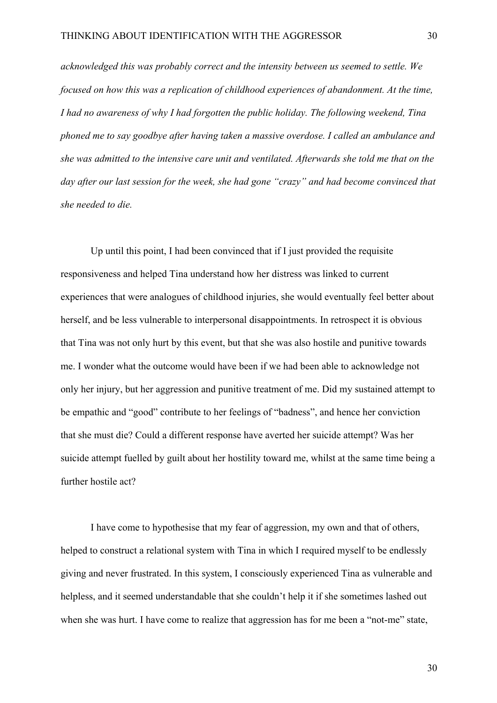*acknowledged this was probably correct and the intensity between us seemed to settle. We focused on how this was a replication of childhood experiences of abandonment. At the time, I had no awareness of why I had forgotten the public holiday. The following weekend, Tina phoned me to say goodbye after having taken a massive overdose. I called an ambulance and she was admitted to the intensive care unit and ventilated. Afterwards she told me that on the day after our last session for the week, she had gone "crazy" and had become convinced that she needed to die.*

Up until this point, I had been convinced that if I just provided the requisite responsiveness and helped Tina understand how her distress was linked to current experiences that were analogues of childhood injuries, she would eventually feel better about herself, and be less vulnerable to interpersonal disappointments. In retrospect it is obvious that Tina was not only hurt by this event, but that she was also hostile and punitive towards me. I wonder what the outcome would have been if we had been able to acknowledge not only her injury, but her aggression and punitive treatment of me. Did my sustained attempt to be empathic and "good" contribute to her feelings of "badness", and hence her conviction that she must die? Could a different response have averted her suicide attempt? Was her suicide attempt fuelled by guilt about her hostility toward me, whilst at the same time being a further hostile act?

I have come to hypothesise that my fear of aggression, my own and that of others, helped to construct a relational system with Tina in which I required myself to be endlessly giving and never frustrated. In this system, I consciously experienced Tina as vulnerable and helpless, and it seemed understandable that she couldn't help it if she sometimes lashed out when she was hurt. I have come to realize that aggression has for me been a "not-me" state,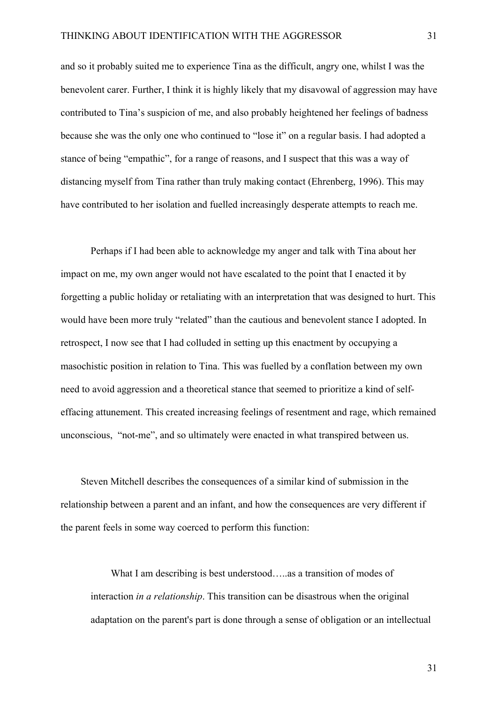and so it probably suited me to experience Tina as the difficult, angry one, whilst I was the benevolent carer. Further, I think it is highly likely that my disavowal of aggression may have contributed to Tina's suspicion of me, and also probably heightened her feelings of badness because she was the only one who continued to "lose it" on a regular basis. I had adopted a stance of being "empathic", for a range of reasons, and I suspect that this was a way of distancing myself from Tina rather than truly making contact (Ehrenberg, 1996). This may have contributed to her isolation and fuelled increasingly desperate attempts to reach me.

Perhaps if I had been able to acknowledge my anger and talk with Tina about her impact on me, my own anger would not have escalated to the point that I enacted it by forgetting a public holiday or retaliating with an interpretation that was designed to hurt. This would have been more truly "related" than the cautious and benevolent stance I adopted. In retrospect, I now see that I had colluded in setting up this enactment by occupying a masochistic position in relation to Tina. This was fuelled by a conflation between my own need to avoid aggression and a theoretical stance that seemed to prioritize a kind of selfeffacing attunement. This created increasing feelings of resentment and rage, which remained unconscious, "not-me", and so ultimately were enacted in what transpired between us.

Steven Mitchell describes the consequences of a similar kind of submission in the relationship between a parent and an infant, and how the consequences are very different if the parent feels in some way coerced to perform this function:

What I am describing is best understood…..as a transition of modes of interaction *in a relationship*. This transition can be disastrous when the original adaptation on the parent's part is done through a sense of obligation or an intellectual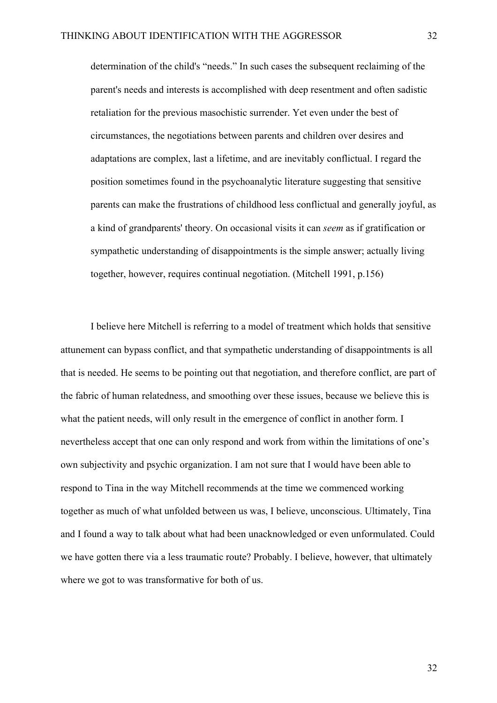determination of the child's "needs." In such cases the subsequent reclaiming of the parent's needs and interests is accomplished with deep resentment and often sadistic retaliation for the previous masochistic surrender. Yet even under the best of circumstances, the negotiations between parents and children over desires and adaptations are complex, last a lifetime, and are inevitably conflictual. I regard the position sometimes found in the psychoanalytic literature suggesting that sensitive parents can make the frustrations of childhood less conflictual and generally joyful, as a kind of grandparents' theory. On occasional visits it can *seem* as if gratification or sympathetic understanding of disappointments is the simple answer; actually living together, however, requires continual negotiation. (Mitchell 1991, p.156)

I believe here Mitchell is referring to a model of treatment which holds that sensitive attunement can bypass conflict, and that sympathetic understanding of disappointments is all that is needed. He seems to be pointing out that negotiation, and therefore conflict, are part of the fabric of human relatedness, and smoothing over these issues, because we believe this is what the patient needs, will only result in the emergence of conflict in another form. I nevertheless accept that one can only respond and work from within the limitations of one's own subjectivity and psychic organization. I am not sure that I would have been able to respond to Tina in the way Mitchell recommends at the time we commenced working together as much of what unfolded between us was, I believe, unconscious. Ultimately, Tina and I found a way to talk about what had been unacknowledged or even unformulated. Could we have gotten there via a less traumatic route? Probably. I believe, however, that ultimately where we got to was transformative for both of us.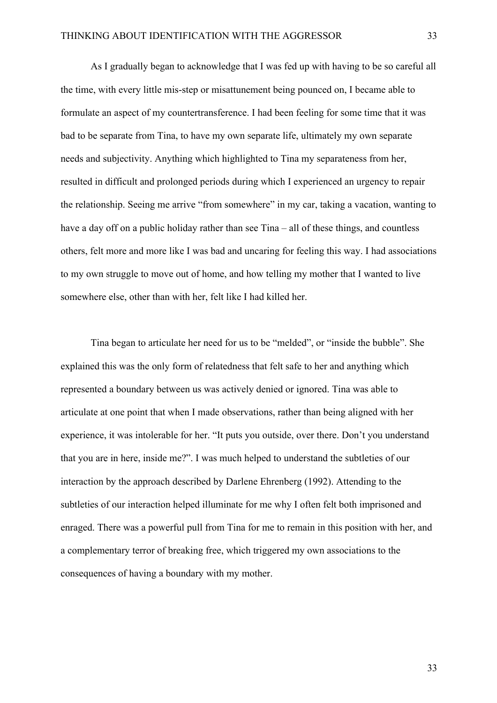As I gradually began to acknowledge that I was fed up with having to be so careful all the time, with every little mis-step or misattunement being pounced on, I became able to formulate an aspect of my countertransference. I had been feeling for some time that it was bad to be separate from Tina, to have my own separate life, ultimately my own separate needs and subjectivity. Anything which highlighted to Tina my separateness from her, resulted in difficult and prolonged periods during which I experienced an urgency to repair the relationship. Seeing me arrive "from somewhere" in my car, taking a vacation, wanting to have a day off on a public holiday rather than see Tina – all of these things, and countless others, felt more and more like I was bad and uncaring for feeling this way. I had associations to my own struggle to move out of home, and how telling my mother that I wanted to live somewhere else, other than with her, felt like I had killed her.

Tina began to articulate her need for us to be "melded", or "inside the bubble". She explained this was the only form of relatedness that felt safe to her and anything which represented a boundary between us was actively denied or ignored. Tina was able to articulate at one point that when I made observations, rather than being aligned with her experience, it was intolerable for her. "It puts you outside, over there. Don't you understand that you are in here, inside me?". I was much helped to understand the subtleties of our interaction by the approach described by Darlene Ehrenberg (1992). Attending to the subtleties of our interaction helped illuminate for me why I often felt both imprisoned and enraged. There was a powerful pull from Tina for me to remain in this position with her, and a complementary terror of breaking free, which triggered my own associations to the consequences of having a boundary with my mother.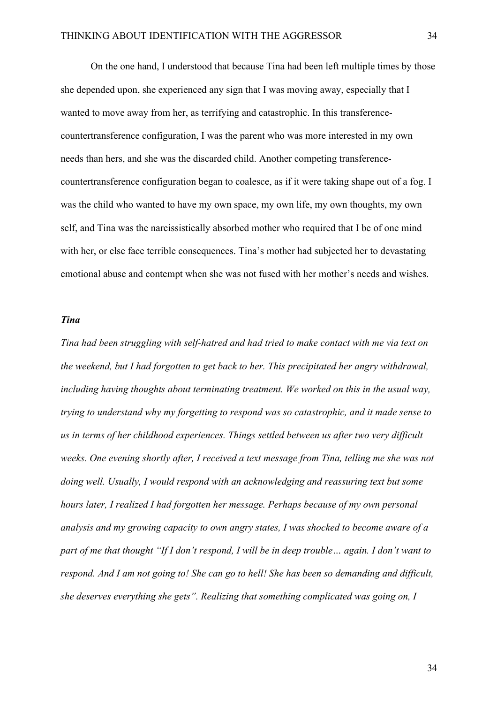On the one hand, I understood that because Tina had been left multiple times by those she depended upon, she experienced any sign that I was moving away, especially that I wanted to move away from her, as terrifying and catastrophic. In this transferencecountertransference configuration, I was the parent who was more interested in my own needs than hers, and she was the discarded child. Another competing transferencecountertransference configuration began to coalesce, as if it were taking shape out of a fog. I was the child who wanted to have my own space, my own life, my own thoughts, my own self, and Tina was the narcissistically absorbed mother who required that I be of one mind with her, or else face terrible consequences. Tina's mother had subjected her to devastating emotional abuse and contempt when she was not fused with her mother's needs and wishes.

### *Tina*

*Tina had been struggling with self-hatred and had tried to make contact with me via text on the weekend, but I had forgotten to get back to her. This precipitated her angry withdrawal, including having thoughts about terminating treatment. We worked on this in the usual way, trying to understand why my forgetting to respond was so catastrophic, and it made sense to us in terms of her childhood experiences. Things settled between us after two very difficult weeks. One evening shortly after, I received a text message from Tina, telling me she was not doing well. Usually, I would respond with an acknowledging and reassuring text but some hours later, I realized I had forgotten her message. Perhaps because of my own personal analysis and my growing capacity to own angry states, I was shocked to become aware of a part of me that thought "If I don't respond, I will be in deep trouble… again. I don't want to respond. And I am not going to! She can go to hell! She has been so demanding and difficult, she deserves everything she gets". Realizing that something complicated was going on, I*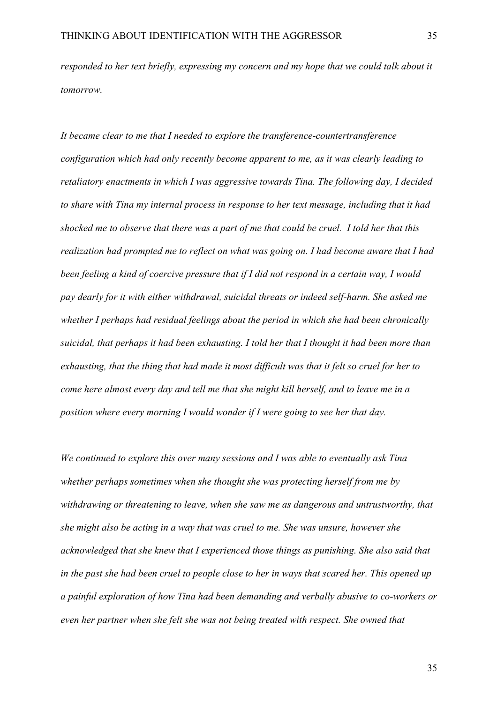*responded to her text briefly, expressing my concern and my hope that we could talk about it tomorrow.*

*It became clear to me that I needed to explore the transference-countertransference configuration which had only recently become apparent to me, as it was clearly leading to retaliatory enactments in which I was aggressive towards Tina. The following day, I decided to share with Tina my internal process in response to her text message, including that it had shocked me to observe that there was a part of me that could be cruel. I told her that this realization had prompted me to reflect on what was going on. I had become aware that I had been feeling a kind of coercive pressure that if I did not respond in a certain way, I would pay dearly for it with either withdrawal, suicidal threats or indeed self-harm. She asked me whether I perhaps had residual feelings about the period in which she had been chronically suicidal, that perhaps it had been exhausting. I told her that I thought it had been more than exhausting, that the thing that had made it most difficult was that it felt so cruel for her to come here almost every day and tell me that she might kill herself, and to leave me in a position where every morning I would wonder if I were going to see her that day.* 

*We continued to explore this over many sessions and I was able to eventually ask Tina whether perhaps sometimes when she thought she was protecting herself from me by withdrawing or threatening to leave, when she saw me as dangerous and untrustworthy, that she might also be acting in a way that was cruel to me. She was unsure, however she acknowledged that she knew that I experienced those things as punishing. She also said that in the past she had been cruel to people close to her in ways that scared her. This opened up a painful exploration of how Tina had been demanding and verbally abusive to co-workers or even her partner when she felt she was not being treated with respect. She owned that*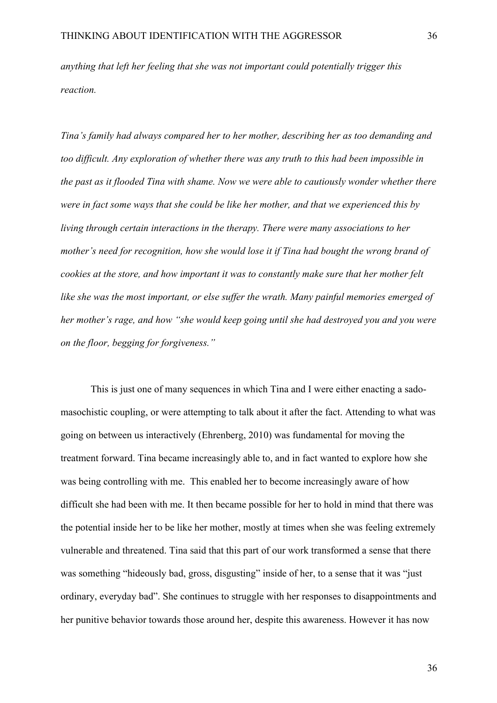*anything that left her feeling that she was not important could potentially trigger this reaction.*

*Tina's family had always compared her to her mother, describing her as too demanding and too difficult. Any exploration of whether there was any truth to this had been impossible in the past as it flooded Tina with shame. Now we were able to cautiously wonder whether there were in fact some ways that she could be like her mother, and that we experienced this by living through certain interactions in the therapy. There were many associations to her mother's need for recognition, how she would lose it if Tina had bought the wrong brand of cookies at the store, and how important it was to constantly make sure that her mother felt like she was the most important, or else suffer the wrath. Many painful memories emerged of her mother's rage, and how "she would keep going until she had destroyed you and you were on the floor, begging for forgiveness."*

This is just one of many sequences in which Tina and I were either enacting a sadomasochistic coupling, or were attempting to talk about it after the fact. Attending to what was going on between us interactively (Ehrenberg, 2010) was fundamental for moving the treatment forward. Tina became increasingly able to, and in fact wanted to explore how she was being controlling with me. This enabled her to become increasingly aware of how difficult she had been with me. It then became possible for her to hold in mind that there was the potential inside her to be like her mother, mostly at times when she was feeling extremely vulnerable and threatened. Tina said that this part of our work transformed a sense that there was something "hideously bad, gross, disgusting" inside of her, to a sense that it was "just ordinary, everyday bad". She continues to struggle with her responses to disappointments and her punitive behavior towards those around her, despite this awareness. However it has now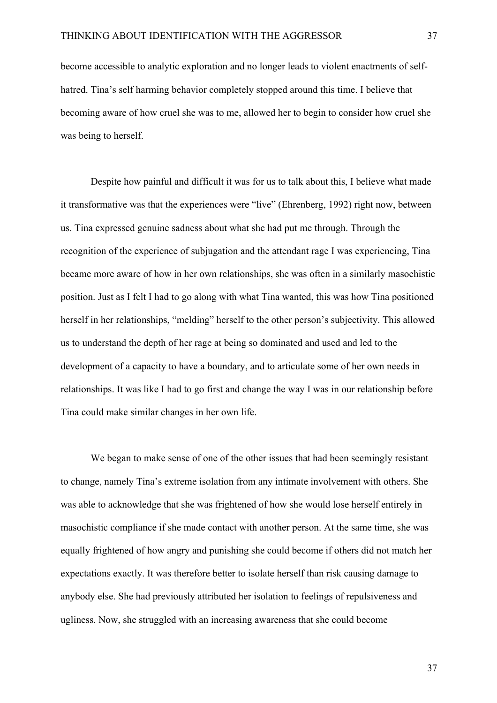become accessible to analytic exploration and no longer leads to violent enactments of selfhatred. Tina's self harming behavior completely stopped around this time. I believe that becoming aware of how cruel she was to me, allowed her to begin to consider how cruel she was being to herself.

Despite how painful and difficult it was for us to talk about this, I believe what made it transformative was that the experiences were "live" (Ehrenberg, 1992) right now, between us. Tina expressed genuine sadness about what she had put me through. Through the recognition of the experience of subjugation and the attendant rage I was experiencing, Tina became more aware of how in her own relationships, she was often in a similarly masochistic position. Just as I felt I had to go along with what Tina wanted, this was how Tina positioned herself in her relationships, "melding" herself to the other person's subjectivity. This allowed us to understand the depth of her rage at being so dominated and used and led to the development of a capacity to have a boundary, and to articulate some of her own needs in relationships. It was like I had to go first and change the way I was in our relationship before Tina could make similar changes in her own life.

We began to make sense of one of the other issues that had been seemingly resistant to change, namely Tina's extreme isolation from any intimate involvement with others. She was able to acknowledge that she was frightened of how she would lose herself entirely in masochistic compliance if she made contact with another person. At the same time, she was equally frightened of how angry and punishing she could become if others did not match her expectations exactly. It was therefore better to isolate herself than risk causing damage to anybody else. She had previously attributed her isolation to feelings of repulsiveness and ugliness. Now, she struggled with an increasing awareness that she could become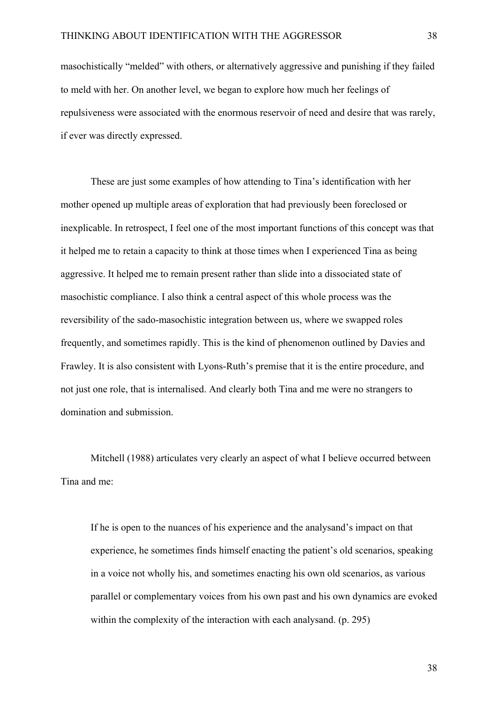masochistically "melded" with others, or alternatively aggressive and punishing if they failed to meld with her. On another level, we began to explore how much her feelings of repulsiveness were associated with the enormous reservoir of need and desire that was rarely, if ever was directly expressed.

These are just some examples of how attending to Tina's identification with her mother opened up multiple areas of exploration that had previously been foreclosed or inexplicable. In retrospect, I feel one of the most important functions of this concept was that it helped me to retain a capacity to think at those times when I experienced Tina as being aggressive. It helped me to remain present rather than slide into a dissociated state of masochistic compliance. I also think a central aspect of this whole process was the reversibility of the sado-masochistic integration between us, where we swapped roles frequently, and sometimes rapidly. This is the kind of phenomenon outlined by Davies and Frawley. It is also consistent with Lyons-Ruth's premise that it is the entire procedure, and not just one role, that is internalised. And clearly both Tina and me were no strangers to domination and submission.

Mitchell (1988) articulates very clearly an aspect of what I believe occurred between Tina and me:

If he is open to the nuances of his experience and the analysand's impact on that experience, he sometimes finds himself enacting the patient's old scenarios, speaking in a voice not wholly his, and sometimes enacting his own old scenarios, as various parallel or complementary voices from his own past and his own dynamics are evoked within the complexity of the interaction with each analysand. (p. 295)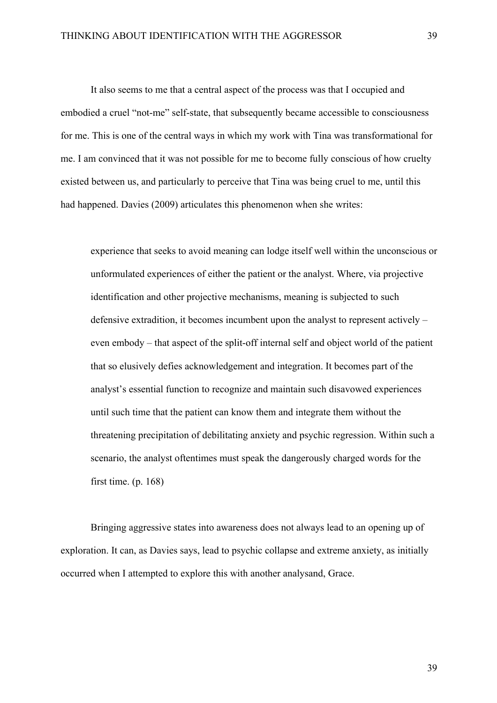It also seems to me that a central aspect of the process was that I occupied and embodied a cruel "not-me" self-state, that subsequently became accessible to consciousness for me. This is one of the central ways in which my work with Tina was transformational for me. I am convinced that it was not possible for me to become fully conscious of how cruelty existed between us, and particularly to perceive that Tina was being cruel to me, until this had happened. Davies (2009) articulates this phenomenon when she writes:

experience that seeks to avoid meaning can lodge itself well within the unconscious or unformulated experiences of either the patient or the analyst. Where, via projective identification and other projective mechanisms, meaning is subjected to such defensive extradition, it becomes incumbent upon the analyst to represent actively – even embody – that aspect of the split-off internal self and object world of the patient that so elusively defies acknowledgement and integration. It becomes part of the analyst's essential function to recognize and maintain such disavowed experiences until such time that the patient can know them and integrate them without the threatening precipitation of debilitating anxiety and psychic regression. Within such a scenario, the analyst oftentimes must speak the dangerously charged words for the first time. (p. 168)

Bringing aggressive states into awareness does not always lead to an opening up of exploration. It can, as Davies says, lead to psychic collapse and extreme anxiety, as initially occurred when I attempted to explore this with another analysand, Grace.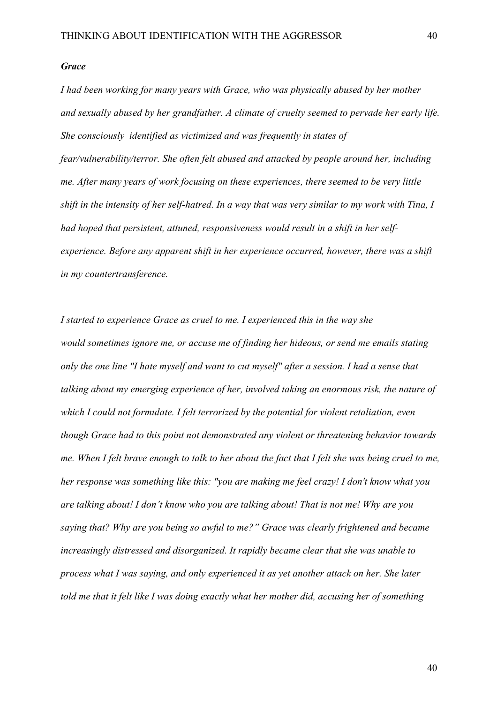### *Grace*

*I had been working for many years with Grace, who was physically abused by her mother and sexually abused by her grandfather. A climate of cruelty seemed to pervade her early life. She consciously identified as victimized and was frequently in states of fear/vulnerability/terror. She often felt abused and attacked by people around her, including me. After many years of work focusing on these experiences, there seemed to be very little shift in the intensity of her self-hatred. In a way that was very similar to my work with Tina, I had hoped that persistent, attuned, responsiveness would result in a shift in her selfexperience. Before any apparent shift in her experience occurred, however, there was a shift in my countertransference.* 

*I started to experience Grace as cruel to me. I experienced this in the way she would sometimes ignore me, or accuse me of finding her hideous, or send me emails stating only the one line "I hate myself and want to cut myself" after a session. I had a sense that talking about my emerging experience of her, involved taking an enormous risk, the nature of which I could not formulate. I felt terrorized by the potential for violent retaliation, even though Grace had to this point not demonstrated any violent or threatening behavior towards me. When I felt brave enough to talk to her about the fact that I felt she was being cruel to me, her response was something like this: "you are making me feel crazy! I don't know what you are talking about! I don't know who you are talking about! That is not me! Why are you saying that? Why are you being so awful to me?" Grace was clearly frightened and became increasingly distressed and disorganized. It rapidly became clear that she was unable to process what I was saying, and only experienced it as yet another attack on her. She later told me that it felt like I was doing exactly what her mother did, accusing her of something*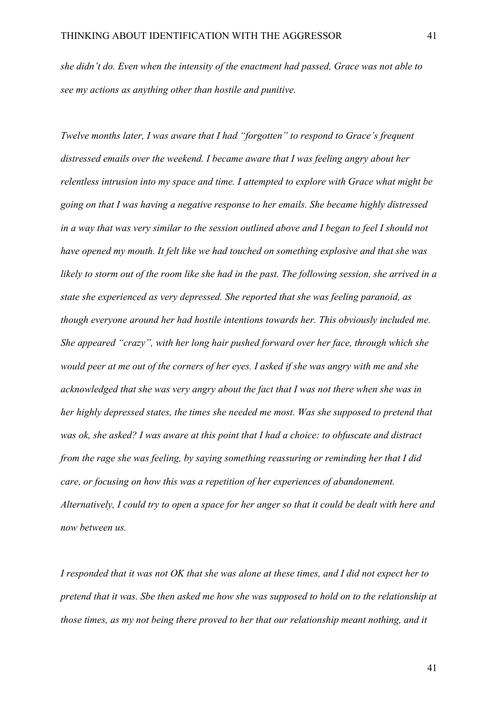*she didn't do. Even when the intensity of the enactment had passed, Grace was not able to see my actions as anything other than hostile and punitive.*

*Twelve months later, I was aware that I had "forgotten" to respond to Grace's frequent distressed emails over the weekend. I became aware that I was feeling angry about her relentless intrusion into my space and time. I attempted to explore with Grace what might be going on that I was having a negative response to her emails. She became highly distressed in a way that was very similar to the session outlined above and I began to feel I should not have opened my mouth. It felt like we had touched on something explosive and that she was likely to storm out of the room like she had in the past. The following session, she arrived in a state she experienced as very depressed. She reported that she was feeling paranoid, as though everyone around her had hostile intentions towards her. This obviously included me. She appeared "crazy", with her long hair pushed forward over her face, through which she would peer at me out of the corners of her eyes. I asked if she was angry with me and she acknowledged that she was very angry about the fact that I was not there when she was in her highly depressed states, the times she needed me most. Was she supposed to pretend that was ok, she asked? I was aware at this point that I had a choice: to obfuscate and distract from the rage she was feeling, by saying something reassuring or reminding her that I did care, or focusing on how this was a repetition of her experiences of abandonement. Alternatively, I could try to open a space for her anger so that it could be dealt with here and now between us.*

*I responded that it was not OK that she was alone at these times, and I did not expect her to pretend that it was. Sbe then asked me how she was supposed to hold on to the relationship at those times, as my not being there proved to her that our relationship meant nothing, and it*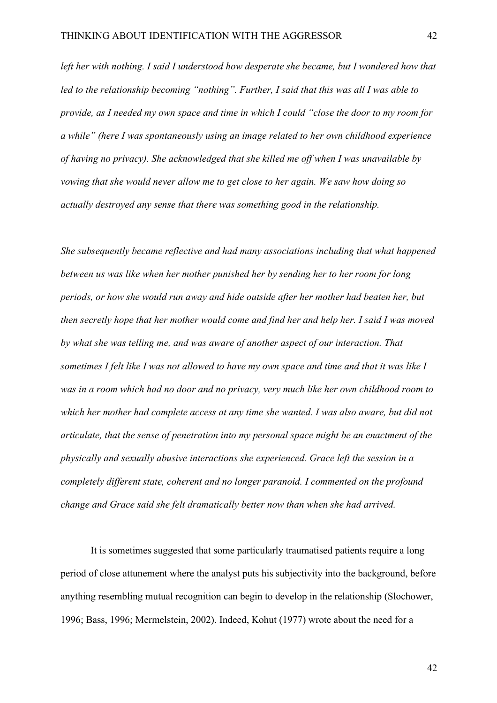*left her with nothing. I said I understood how desperate she became, but I wondered how that led to the relationship becoming "nothing". Further, I said that this was all I was able to provide, as I needed my own space and time in which I could "close the door to my room for a while" (here I was spontaneously using an image related to her own childhood experience of having no privacy). She acknowledged that she killed me off when I was unavailable by vowing that she would never allow me to get close to her again. We saw how doing so actually destroyed any sense that there was something good in the relationship.*

*She subsequently became reflective and had many associations including that what happened between us was like when her mother punished her by sending her to her room for long periods, or how she would run away and hide outside after her mother had beaten her, but then secretly hope that her mother would come and find her and help her. I said I was moved by what she was telling me, and was aware of another aspect of our interaction. That sometimes I felt like I was not allowed to have my own space and time and that it was like I was in a room which had no door and no privacy, very much like her own childhood room to which her mother had complete access at any time she wanted. I was also aware, but did not articulate, that the sense of penetration into my personal space might be an enactment of the physically and sexually abusive interactions she experienced. Grace left the session in a completely different state, coherent and no longer paranoid. I commented on the profound change and Grace said she felt dramatically better now than when she had arrived.*

It is sometimes suggested that some particularly traumatised patients require a long period of close attunement where the analyst puts his subjectivity into the background, before anything resembling mutual recognition can begin to develop in the relationship (Slochower, 1996; Bass, 1996; Mermelstein, 2002). Indeed, Kohut (1977) wrote about the need for a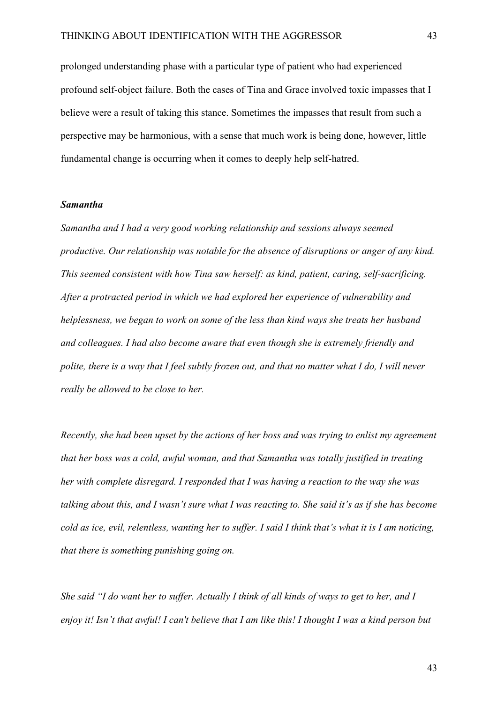prolonged understanding phase with a particular type of patient who had experienced profound self-object failure. Both the cases of Tina and Grace involved toxic impasses that I believe were a result of taking this stance. Sometimes the impasses that result from such a perspective may be harmonious, with a sense that much work is being done, however, little fundamental change is occurring when it comes to deeply help self-hatred.

#### *Samantha*

*Samantha and I had a very good working relationship and sessions always seemed productive. Our relationship was notable for the absence of disruptions or anger of any kind. This seemed consistent with how Tina saw herself: as kind, patient, caring, self-sacrificing. After a protracted period in which we had explored her experience of vulnerability and helplessness, we began to work on some of the less than kind ways she treats her husband and colleagues. I had also become aware that even though she is extremely friendly and polite, there is a way that I feel subtly frozen out, and that no matter what I do, I will never really be allowed to be close to her.* 

*Recently, she had been upset by the actions of her boss and was trying to enlist my agreement that her boss was a cold, awful woman, and that Samantha was totally justified in treating her with complete disregard. I responded that I was having a reaction to the way she was talking about this, and I wasn't sure what I was reacting to. She said it's as if she has become cold as ice, evil, relentless, wanting her to suffer. I said I think that's what it is I am noticing, that there is something punishing going on.*

*She said "I do want her to suffer. Actually I think of all kinds of ways to get to her, and I enjoy it! Isn't that awful! I can't believe that I am like this! I thought I was a kind person but*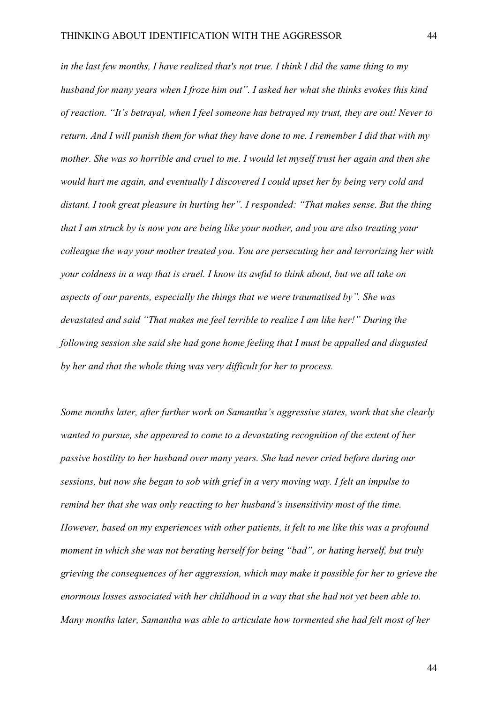*in the last few months, I have realized that's not true. I think I did the same thing to my husband for many years when I froze him out". I asked her what she thinks evokes this kind of reaction. "It's betrayal, when I feel someone has betrayed my trust, they are out! Never to return. And I will punish them for what they have done to me. I remember I did that with my mother. She was so horrible and cruel to me. I would let myself trust her again and then she would hurt me again, and eventually I discovered I could upset her by being very cold and distant. I took great pleasure in hurting her". I responded: "That makes sense. But the thing that I am struck by is now you are being like your mother, and you are also treating your colleague the way your mother treated you. You are persecuting her and terrorizing her with your coldness in a way that is cruel. I know its awful to think about, but we all take on aspects of our parents, especially the things that we were traumatised by". She was devastated and said "That makes me feel terrible to realize I am like her!" During the following session she said she had gone home feeling that I must be appalled and disgusted by her and that the whole thing was very difficult for her to process.*

*Some months later, after further work on Samantha's aggressive states, work that she clearly wanted to pursue, she appeared to come to a devastating recognition of the extent of her passive hostility to her husband over many years. She had never cried before during our sessions, but now she began to sob with grief in a very moving way. I felt an impulse to remind her that she was only reacting to her husband's insensitivity most of the time. However, based on my experiences with other patients, it felt to me like this was a profound moment in which she was not berating herself for being "bad", or hating herself, but truly grieving the consequences of her aggression, which may make it possible for her to grieve the enormous losses associated with her childhood in a way that she had not yet been able to. Many months later, Samantha was able to articulate how tormented she had felt most of her*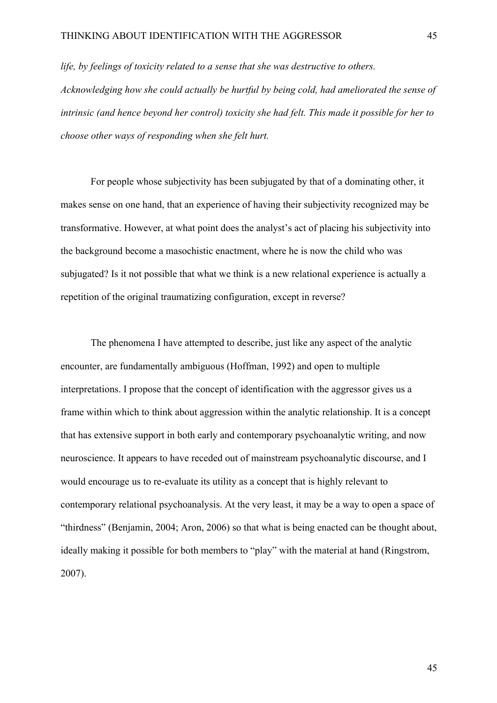*life, by feelings of toxicity related to a sense that she was destructive to others. Acknowledging how she could actually be hurtful by being cold, had ameliorated the sense of intrinsic (and hence beyond her control) toxicity she had felt. This made it possible for her to choose other ways of responding when she felt hurt.* 

For people whose subjectivity has been subjugated by that of a dominating other, it makes sense on one hand, that an experience of having their subjectivity recognized may be transformative. However, at what point does the analyst's act of placing his subjectivity into the background become a masochistic enactment, where he is now the child who was subjugated? Is it not possible that what we think is a new relational experience is actually a repetition of the original traumatizing configuration, except in reverse?

The phenomena I have attempted to describe, just like any aspect of the analytic encounter, are fundamentally ambiguous (Hoffman, 1992) and open to multiple interpretations. I propose that the concept of identification with the aggressor gives us a frame within which to think about aggression within the analytic relationship. It is a concept that has extensive support in both early and contemporary psychoanalytic writing, and now neuroscience. It appears to have receded out of mainstream psychoanalytic discourse, and I would encourage us to re-evaluate its utility as a concept that is highly relevant to contemporary relational psychoanalysis. At the very least, it may be a way to open a space of "thirdness" (Benjamin, 2004; Aron, 2006) so that what is being enacted can be thought about, ideally making it possible for both members to "play" with the material at hand (Ringstrom, 2007).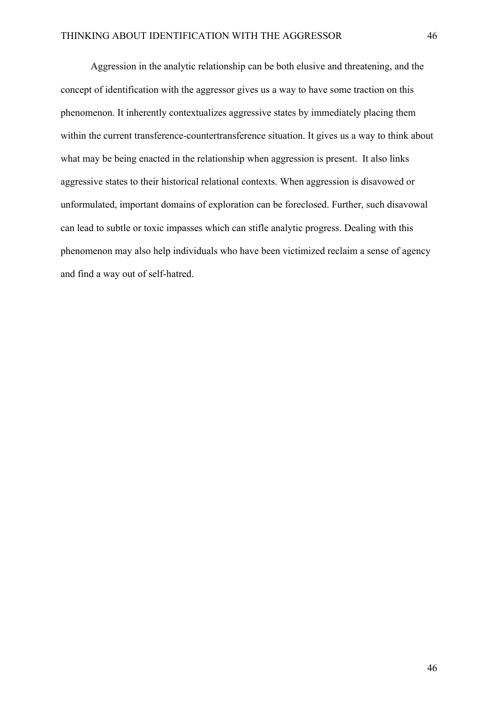Aggression in the analytic relationship can be both elusive and threatening, and the concept of identification with the aggressor gives us a way to have some traction on this phenomenon. It inherently contextualizes aggressive states by immediately placing them within the current transference-countertransference situation. It gives us a way to think about what may be being enacted in the relationship when aggression is present. It also links aggressive states to their historical relational contexts. When aggression is disavowed or unformulated, important domains of exploration can be foreclosed. Further, such disavowal can lead to subtle or toxic impasses which can stifle analytic progress. Dealing with this phenomenon may also help individuals who have been victimized reclaim a sense of agency and find a way out of self-hatred.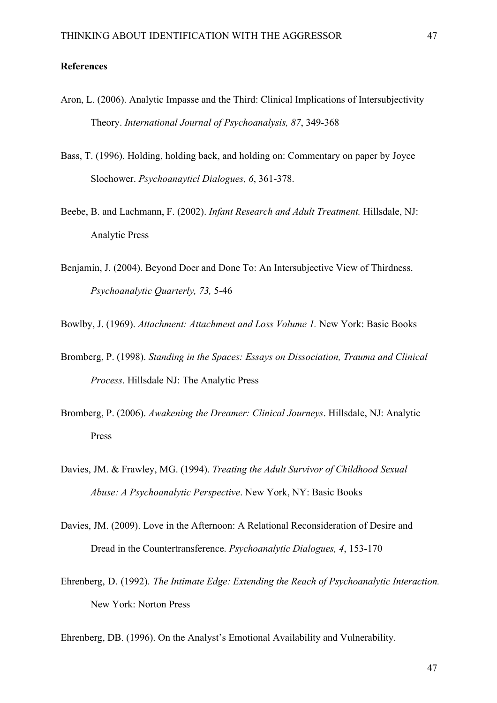## **References**

- Aron, L. (2006). Analytic Impasse and the Third: Clinical Implications of Intersubjectivity Theory. *International Journal of Psychoanalysis, 87*, 349-368
- Bass, T. (1996). Holding, holding back, and holding on: Commentary on paper by Joyce Slochower. *Psychoanayticl Dialogues, 6*, 361-378.
- Beebe, B. and Lachmann, F. (2002). *Infant Research and Adult Treatment.* Hillsdale, NJ: Analytic Press
- Benjamin, J. (2004). Beyond Doer and Done To: An Intersubjective View of Thirdness. *Psychoanalytic Quarterly, 73,* 5-46

Bowlby, J. (1969). *Attachment: Attachment and Loss Volume 1.* New York: Basic Books

- Bromberg, P. (1998). *Standing in the Spaces: Essays on Dissociation, Trauma and Clinical Process*. Hillsdale NJ: The Analytic Press
- Bromberg, P. (2006). *Awakening the Dreamer: Clinical Journeys*. Hillsdale, NJ: Analytic Press
- Davies, JM. & Frawley, MG. (1994). *Treating the Adult Survivor of Childhood Sexual Abuse: A Psychoanalytic Perspective*. New York, NY: Basic Books
- Davies, JM. (2009). Love in the Afternoon: A Relational Reconsideration of Desire and Dread in the Countertransference. *Psychoanalytic Dialogues, 4*, 153-170
- Ehrenberg, D. (1992). *The Intimate Edge: Extending the Reach of Psychoanalytic Interaction.* New York: Norton Press

Ehrenberg, DB. (1996). On the Analyst's Emotional Availability and Vulnerability.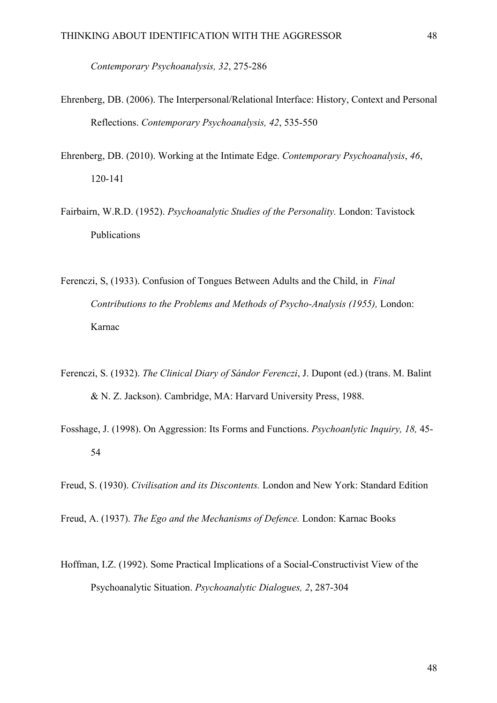*Contemporary Psychoanalysis, 32*, 275-286

- Ehrenberg, DB. (2006). The Interpersonal/Relational Interface: History, Context and Personal Reflections. *Contemporary Psychoanalysis, 42*, 535-550
- Ehrenberg, DB. (2010). Working at the Intimate Edge. *Contemporary Psychoanalysis*, *46*, 120-141
- Fairbairn, W.R.D. (1952). *Psychoanalytic Studies of the Personality.* London: Tavistock Publications
- Ferenczi, S, (1933). Confusion of Tongues Between Adults and the Child, in *Final Contributions to the Problems and Methods of Psycho-Analysis (1955),* London: Karnac
- Ferenczi, S. (1932). *The Clinical Diary of Sándor Ferenczi*, J. Dupont (ed.) (trans. M. Balint & N. Z. Jackson). Cambridge, MA: Harvard University Press, 1988.
- Fosshage, J. (1998). On Aggression: Its Forms and Functions. *Psychoanlytic Inquiry, 18,* 45- 54

Freud, S. (1930). *Civilisation and its Discontents.* London and New York: Standard Edition

Freud, A. (1937). *The Ego and the Mechanisms of Defence.* London: Karnac Books

Hoffman, I.Z. (1992). Some Practical Implications of a Social-Constructivist View of the Psychoanalytic Situation. *Psychoanalytic Dialogues, 2*, 287-304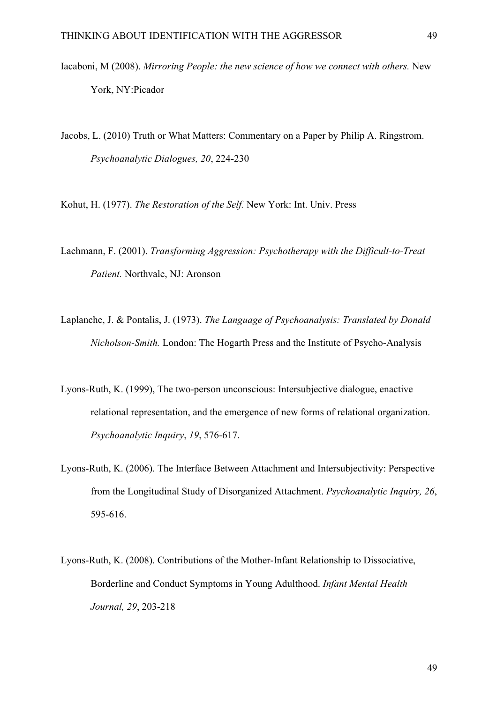Iacaboni, M (2008). *Mirroring People: the new science of how we connect with others.* New York, NY:Picador

Jacobs, L. (2010) Truth or What Matters: Commentary on a Paper by Philip A. Ringstrom. *Psychoanalytic Dialogues, 20*, 224-230

Kohut, H. (1977). *The Restoration of the Self.* New York: Int. Univ. Press

- Lachmann, F. (2001). *Transforming Aggression: Psychotherapy with the Difficult-to-Treat Patient.* Northvale, NJ: Aronson
- Laplanche, J. & Pontalis, J. (1973). *The Language of Psychoanalysis: Translated by Donald Nicholson-Smith.* London: The Hogarth Press and the Institute of Psycho-Analysis
- Lyons-Ruth, K. (1999), The two-person unconscious: Intersubjective dialogue, enactive relational representation, and the emergence of new forms of relational organization. *Psychoanalytic Inquiry*, *19*, 576-617.
- Lyons-Ruth, K. (2006). The Interface Between Attachment and Intersubjectivity: Perspective from the Longitudinal Study of Disorganized Attachment. *Psychoanalytic Inquiry, 26*, 595-616.
- Lyons-Ruth, K. (2008). Contributions of the Mother-Infant Relationship to Dissociative, Borderline and Conduct Symptoms in Young Adulthood. *Infant Mental Health Journal, 29*, 203-218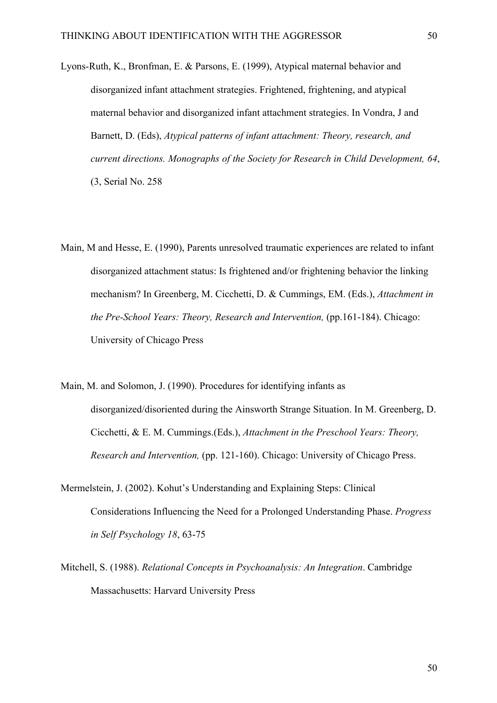- Lyons-Ruth, K., Bronfman, E. & Parsons, E. (1999), Atypical maternal behavior and disorganized infant attachment strategies. Frightened, frightening, and atypical maternal behavior and disorganized infant attachment strategies. In Vondra, J and Barnett, D. (Eds), *Atypical patterns of infant attachment: Theory, research, and current directions. Monographs of the Society for Research in Child Development, 64*, (3, Serial No. 258
- Main, M and Hesse, E. (1990), Parents unresolved traumatic experiences are related to infant disorganized attachment status: Is frightened and/or frightening behavior the linking mechanism? In Greenberg, M. Cicchetti, D. & Cummings, EM. (Eds.), *Attachment in the Pre-School Years: Theory, Research and Intervention, (pp.161-184). Chicago:* University of Chicago Press
- Main, M. and Solomon, J. (1990). Procedures for identifying infants as disorganized/disoriented during the Ainsworth Strange Situation. In M. Greenberg, D. Cicchetti, & E. M. Cummings.(Eds.), *Attachment in the Preschool Years: Theory, Research and Intervention,* (pp. 121-160). Chicago: University of Chicago Press.
- Mermelstein, J. (2002). Kohut's Understanding and Explaining Steps: Clinical Considerations Influencing the Need for a Prolonged Understanding Phase. *Progress in Self Psychology 18*, 63-75
- Mitchell, S. (1988). *Relational Concepts in Psychoanalysis: An Integration*. Cambridge Massachusetts: Harvard University Press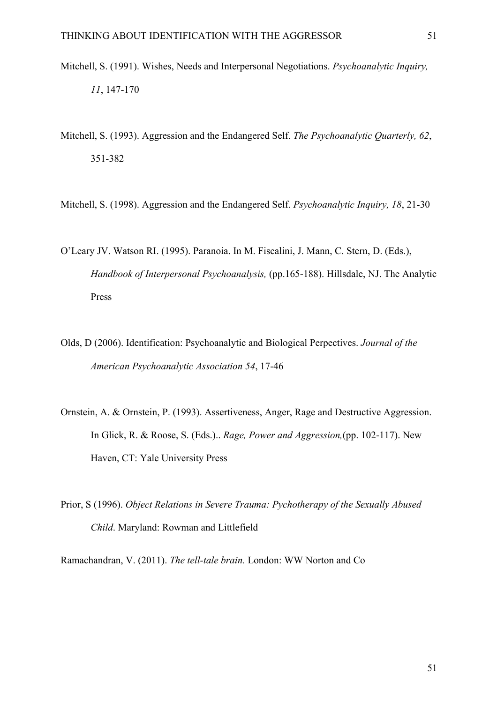- Mitchell, S. (1991). Wishes, Needs and Interpersonal Negotiations. *Psychoanalytic Inquiry, 11*, 147-170
- Mitchell, S. (1993). Aggression and the Endangered Self. *The Psychoanalytic Quarterly, 62*, 351-382
- Mitchell, S. (1998). Aggression and the Endangered Self. *Psychoanalytic Inquiry, 18*, 21-30
- O'Leary JV. Watson RI. (1995). Paranoia. In M. Fiscalini, J. Mann, C. Stern, D. (Eds.), *Handbook of Interpersonal Psychoanalysis,* (pp.165-188). Hillsdale, NJ. The Analytic Press
- Olds, D (2006). Identification: Psychoanalytic and Biological Perpectives. *Journal of the American Psychoanalytic Association 54*, 17-46
- Ornstein, A. & Ornstein, P. (1993). Assertiveness, Anger, Rage and Destructive Aggression. In Glick, R. & Roose, S. (Eds.).. *Rage, Power and Aggression,*(pp. 102-117). New Haven, CT: Yale University Press
- Prior, S (1996). *Object Relations in Severe Trauma: Pychotherapy of the Sexually Abused Child*. Maryland: Rowman and Littlefield

Ramachandran, V. (2011). *The tell-tale brain.* London: WW Norton and Co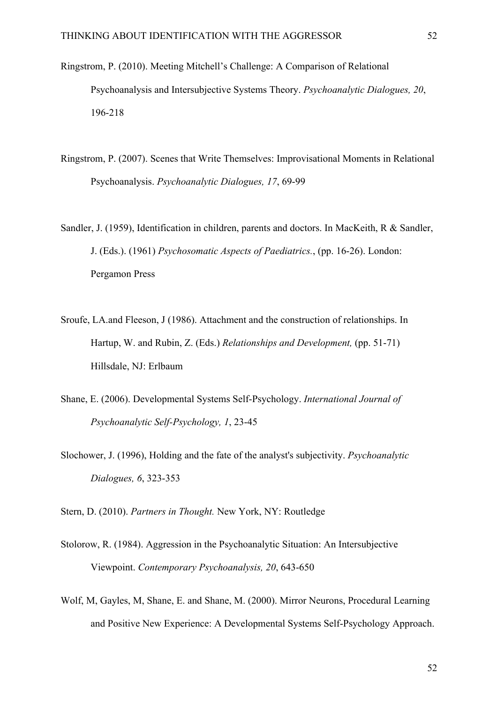- Ringstrom, P. (2010). Meeting Mitchell's Challenge: A Comparison of Relational Psychoanalysis and Intersubjective Systems Theory. *Psychoanalytic Dialogues, 20*, 196-218
- Ringstrom, P. (2007). Scenes that Write Themselves: Improvisational Moments in Relational Psychoanalysis. *Psychoanalytic Dialogues, 17*, 69-99
- Sandler, J. (1959), Identification in children, parents and doctors. In MacKeith, R & Sandler, J. (Eds.). (1961) *Psychosomatic Aspects of Paediatrics.*, (pp. 16-26). London: Pergamon Press
- Sroufe, LA.and Fleeson, J (1986). Attachment and the construction of relationships. In Hartup, W. and Rubin, Z. (Eds.) *Relationships and Development,* (pp. 51-71) Hillsdale, NJ: Erlbaum
- Shane, E. (2006). Developmental Systems Self-Psychology. *International Journal of Psychoanalytic Self-Psychology, 1*, 23-45
- Slochower, J. (1996), Holding and the fate of the analyst's subjectivity. *Psychoanalytic Dialogues, 6*, 323-353

Stern, D. (2010). *Partners in Thought.* New York, NY: Routledge

- Stolorow, R. (1984). Aggression in the Psychoanalytic Situation: An Intersubjective Viewpoint. *Contemporary Psychoanalysis, 20*, 643-650
- Wolf, M, Gayles, M, Shane, E. and Shane, M. (2000). Mirror Neurons, Procedural Learning and Positive New Experience: A Developmental Systems Self-Psychology Approach.